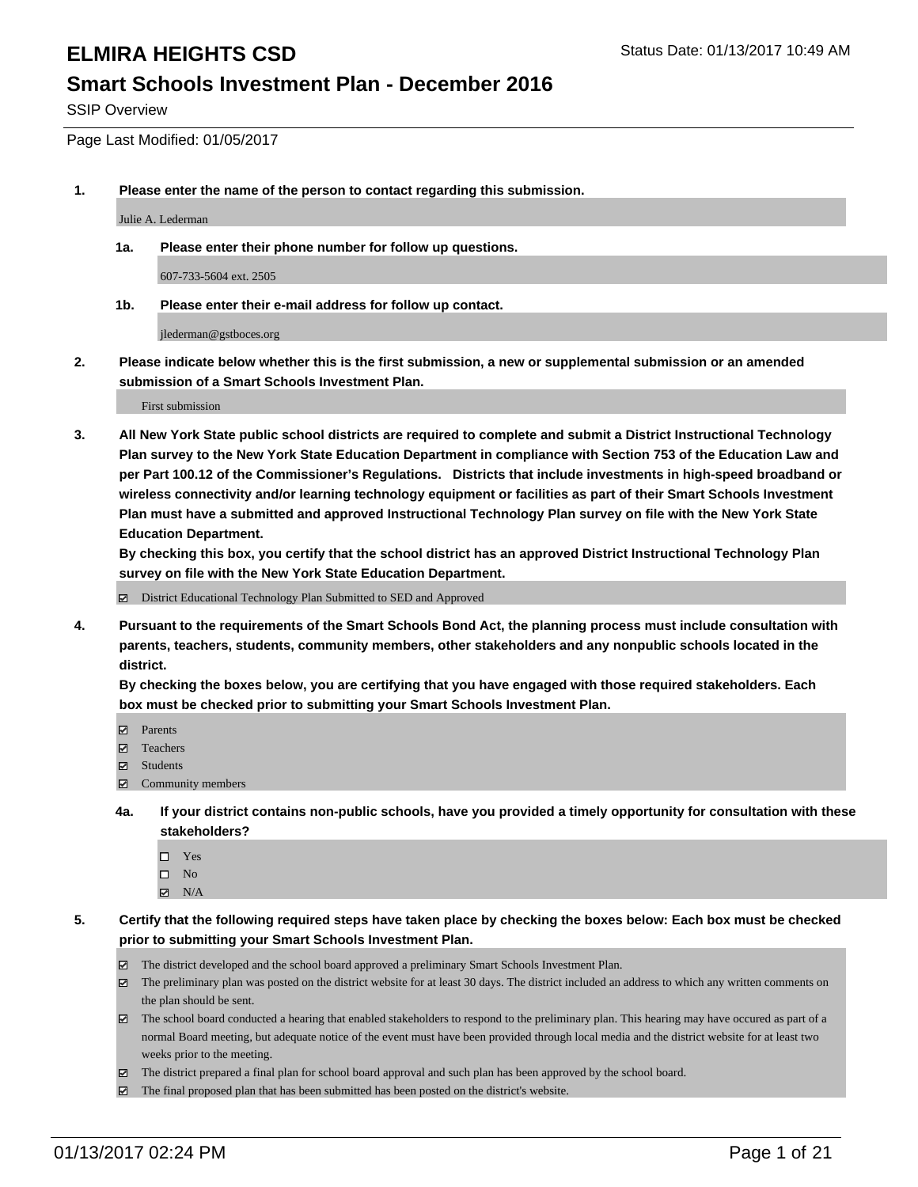### **Smart Schools Investment Plan - December 2016**

SSIP Overview

Page Last Modified: 01/05/2017

**1. Please enter the name of the person to contact regarding this submission.**

Julie A. Lederman

**1a. Please enter their phone number for follow up questions.**

607-733-5604 ext. 2505

**1b. Please enter their e-mail address for follow up contact.**

jlederman@gstboces.org

**2. Please indicate below whether this is the first submission, a new or supplemental submission or an amended submission of a Smart Schools Investment Plan.**

First submission

**3. All New York State public school districts are required to complete and submit a District Instructional Technology Plan survey to the New York State Education Department in compliance with Section 753 of the Education Law and per Part 100.12 of the Commissioner's Regulations. Districts that include investments in high-speed broadband or wireless connectivity and/or learning technology equipment or facilities as part of their Smart Schools Investment Plan must have a submitted and approved Instructional Technology Plan survey on file with the New York State Education Department.** 

**By checking this box, you certify that the school district has an approved District Instructional Technology Plan survey on file with the New York State Education Department.**

District Educational Technology Plan Submitted to SED and Approved

**4. Pursuant to the requirements of the Smart Schools Bond Act, the planning process must include consultation with parents, teachers, students, community members, other stakeholders and any nonpublic schools located in the district.** 

**By checking the boxes below, you are certifying that you have engaged with those required stakeholders. Each box must be checked prior to submitting your Smart Schools Investment Plan.**

- **Parents**
- Teachers
- **冈** Students
- Community members
- **4a. If your district contains non-public schools, have you provided a timely opportunity for consultation with these stakeholders?**
	- □ Yes
	- $\square$  No
	- $\boxtimes$  N/A
- **5. Certify that the following required steps have taken place by checking the boxes below: Each box must be checked prior to submitting your Smart Schools Investment Plan.**
	- The district developed and the school board approved a preliminary Smart Schools Investment Plan.
	- The preliminary plan was posted on the district website for at least 30 days. The district included an address to which any written comments on the plan should be sent.
	- The school board conducted a hearing that enabled stakeholders to respond to the preliminary plan. This hearing may have occured as part of a normal Board meeting, but adequate notice of the event must have been provided through local media and the district website for at least two weeks prior to the meeting.
	- The district prepared a final plan for school board approval and such plan has been approved by the school board.
	- $\boxtimes$  The final proposed plan that has been submitted has been posted on the district's website.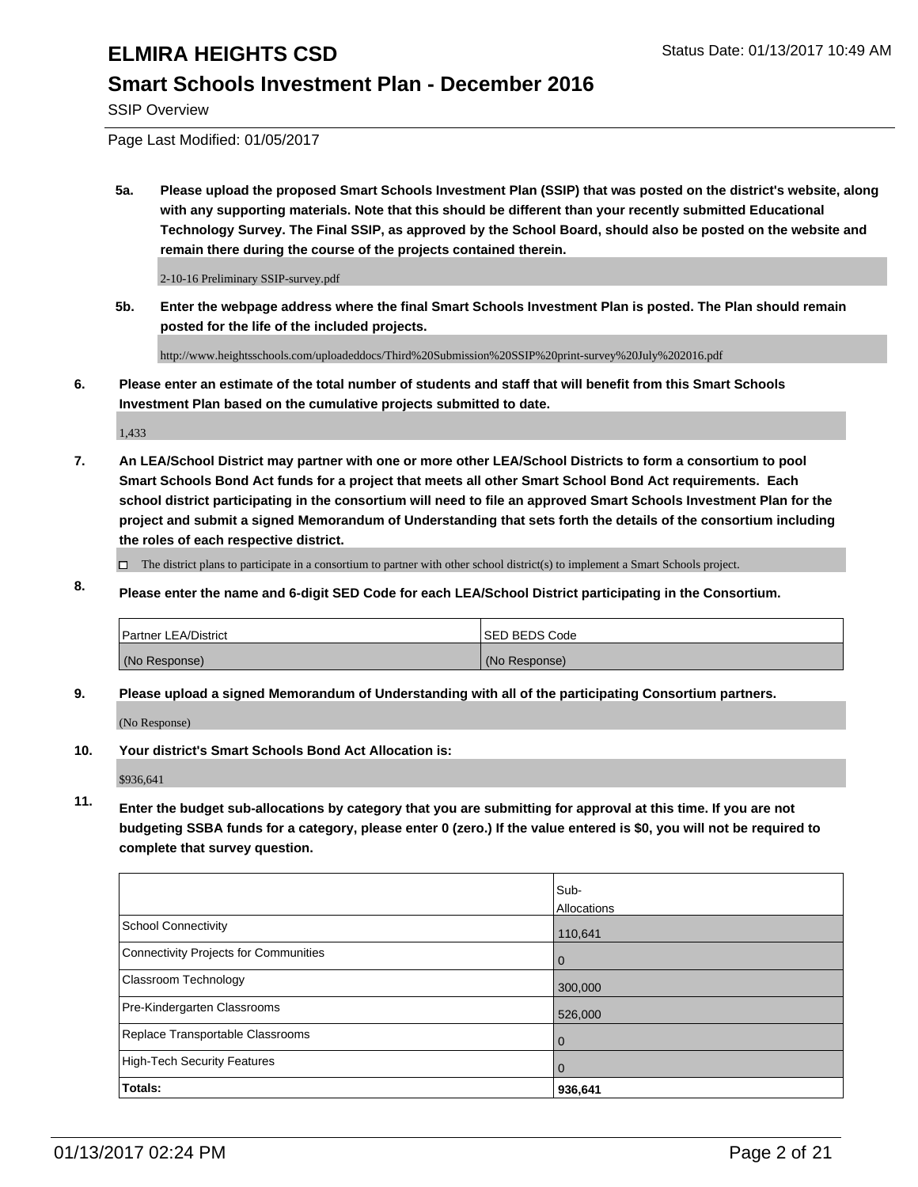### **Smart Schools Investment Plan - December 2016**

SSIP Overview

Page Last Modified: 01/05/2017

**5a. Please upload the proposed Smart Schools Investment Plan (SSIP) that was posted on the district's website, along with any supporting materials. Note that this should be different than your recently submitted Educational Technology Survey. The Final SSIP, as approved by the School Board, should also be posted on the website and remain there during the course of the projects contained therein.**

2-10-16 Preliminary SSIP-survey.pdf

**5b. Enter the webpage address where the final Smart Schools Investment Plan is posted. The Plan should remain posted for the life of the included projects.**

http://www.heightsschools.com/uploadeddocs/Third%20Submission%20SSIP%20print-survey%20July%202016.pdf

**6. Please enter an estimate of the total number of students and staff that will benefit from this Smart Schools Investment Plan based on the cumulative projects submitted to date.**

1,433

- **7. An LEA/School District may partner with one or more other LEA/School Districts to form a consortium to pool Smart Schools Bond Act funds for a project that meets all other Smart School Bond Act requirements. Each school district participating in the consortium will need to file an approved Smart Schools Investment Plan for the project and submit a signed Memorandum of Understanding that sets forth the details of the consortium including the roles of each respective district.**
	- $\Box$  The district plans to participate in a consortium to partner with other school district(s) to implement a Smart Schools project.
- **8. Please enter the name and 6-digit SED Code for each LEA/School District participating in the Consortium.**

| <b>Partner LEA/District</b> | <b>ISED BEDS Code</b> |
|-----------------------------|-----------------------|
| (No Response)               | (No Response)         |

**9. Please upload a signed Memorandum of Understanding with all of the participating Consortium partners.**

(No Response)

**10. Your district's Smart Schools Bond Act Allocation is:**

\$936,641

**11. Enter the budget sub-allocations by category that you are submitting for approval at this time. If you are not budgeting SSBA funds for a category, please enter 0 (zero.) If the value entered is \$0, you will not be required to complete that survey question.**

|                                       | Sub-        |
|---------------------------------------|-------------|
|                                       | Allocations |
| <b>School Connectivity</b>            | 110,641     |
| Connectivity Projects for Communities | $\Omega$    |
| <b>Classroom Technology</b>           | 300,000     |
| Pre-Kindergarten Classrooms           | 526,000     |
| Replace Transportable Classrooms      |             |
| High-Tech Security Features           | $\Omega$    |
| Totals:                               | 936,641     |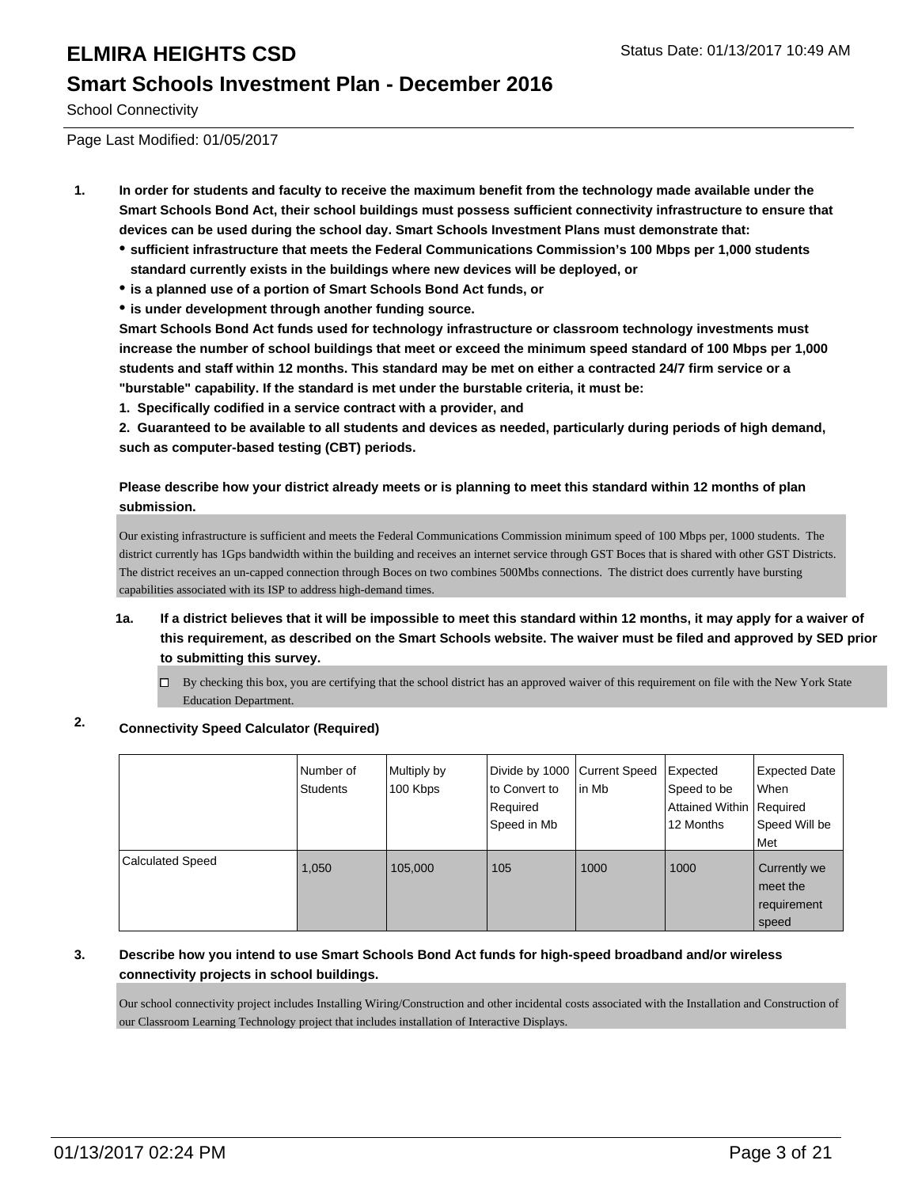### **Smart Schools Investment Plan - December 2016**

School Connectivity

Page Last Modified: 01/05/2017

- **1. In order for students and faculty to receive the maximum benefit from the technology made available under the Smart Schools Bond Act, their school buildings must possess sufficient connectivity infrastructure to ensure that devices can be used during the school day. Smart Schools Investment Plans must demonstrate that:**
	- **sufficient infrastructure that meets the Federal Communications Commission's 100 Mbps per 1,000 students standard currently exists in the buildings where new devices will be deployed, or**
	- **is a planned use of a portion of Smart Schools Bond Act funds, or**
	- **is under development through another funding source.**

**Smart Schools Bond Act funds used for technology infrastructure or classroom technology investments must increase the number of school buildings that meet or exceed the minimum speed standard of 100 Mbps per 1,000 students and staff within 12 months. This standard may be met on either a contracted 24/7 firm service or a "burstable" capability. If the standard is met under the burstable criteria, it must be:**

**1. Specifically codified in a service contract with a provider, and**

**2. Guaranteed to be available to all students and devices as needed, particularly during periods of high demand, such as computer-based testing (CBT) periods.**

**Please describe how your district already meets or is planning to meet this standard within 12 months of plan submission.**

Our existing infrastructure is sufficient and meets the Federal Communications Commission minimum speed of 100 Mbps per, 1000 students. The district currently has 1Gps bandwidth within the building and receives an internet service through GST Boces that is shared with other GST Districts. The district receives an un-capped connection through Boces on two combines 500Mbs connections. The district does currently have bursting capabilities associated with its ISP to address high-demand times.

- **1a. If a district believes that it will be impossible to meet this standard within 12 months, it may apply for a waiver of this requirement, as described on the Smart Schools website. The waiver must be filed and approved by SED prior to submitting this survey.**
	- By checking this box, you are certifying that the school district has an approved waiver of this requirement on file with the New York State Education Department.
- **2. Connectivity Speed Calculator (Required)**

|                  | Number of<br><b>Students</b> | Multiply by<br>100 Kbps | Divide by 1000 Current Speed<br>lto Convert to<br>Required<br>Speed in Mb | lin Mb | Expected<br>Speed to be<br>Attained Within Required<br>12 Months | <b>Expected Date</b><br>When<br>Speed Will be<br>l Met  |
|------------------|------------------------------|-------------------------|---------------------------------------------------------------------------|--------|------------------------------------------------------------------|---------------------------------------------------------|
| Calculated Speed | 1.050                        | 105,000                 | 105                                                                       | 1000   | 1000                                                             | <b>Currently we</b><br>meet the<br>requirement<br>speed |

### **3. Describe how you intend to use Smart Schools Bond Act funds for high-speed broadband and/or wireless connectivity projects in school buildings.**

Our school connectivity project includes Installing Wiring/Construction and other incidental costs associated with the Installation and Construction of our Classroom Learning Technology project that includes installation of Interactive Displays.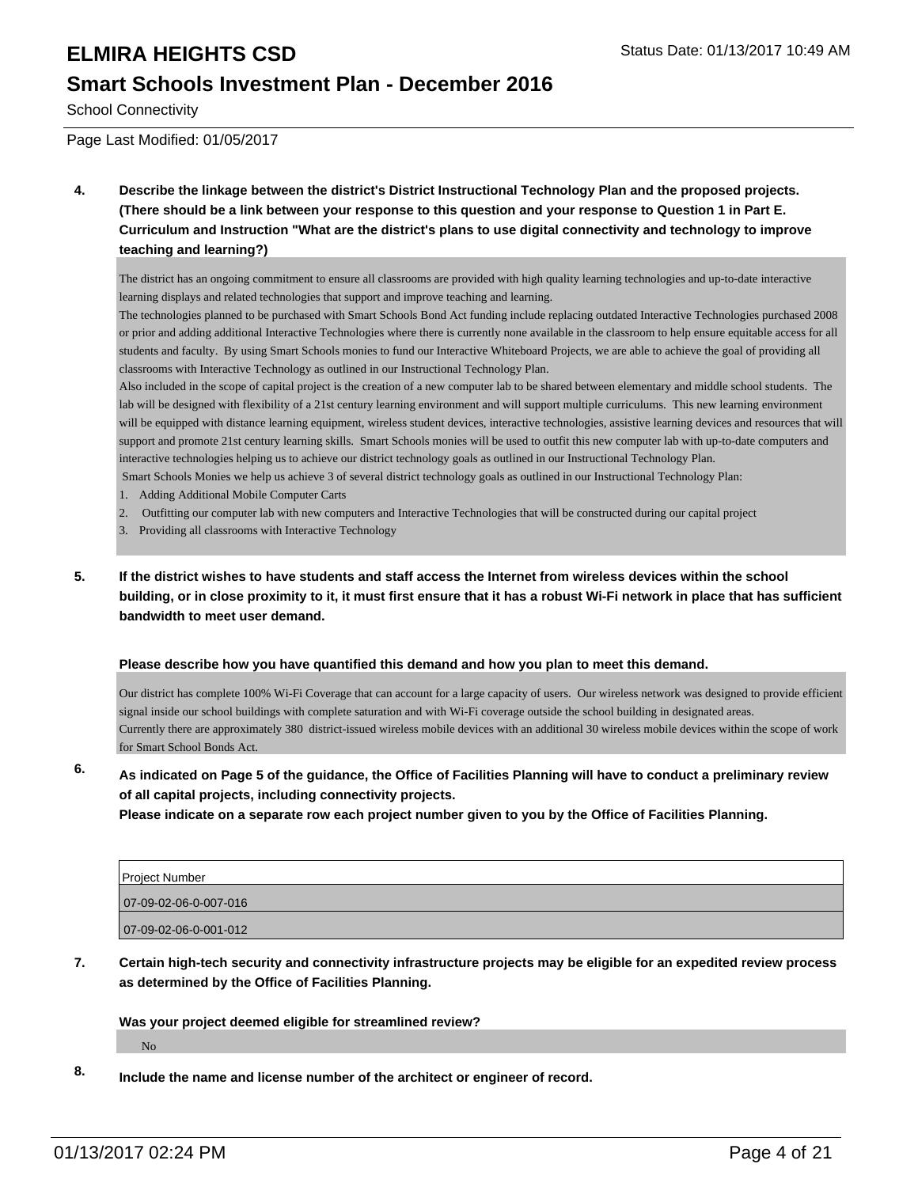### **Smart Schools Investment Plan - December 2016**

School Connectivity

Page Last Modified: 01/05/2017

**4. Describe the linkage between the district's District Instructional Technology Plan and the proposed projects. (There should be a link between your response to this question and your response to Question 1 in Part E. Curriculum and Instruction "What are the district's plans to use digital connectivity and technology to improve teaching and learning?)**

The district has an ongoing commitment to ensure all classrooms are provided with high quality learning technologies and up-to-date interactive learning displays and related technologies that support and improve teaching and learning.

The technologies planned to be purchased with Smart Schools Bond Act funding include replacing outdated Interactive Technologies purchased 2008 or prior and adding additional Interactive Technologies where there is currently none available in the classroom to help ensure equitable access for all students and faculty. By using Smart Schools monies to fund our Interactive Whiteboard Projects, we are able to achieve the goal of providing all classrooms with Interactive Technology as outlined in our Instructional Technology Plan.

Also included in the scope of capital project is the creation of a new computer lab to be shared between elementary and middle school students. The lab will be designed with flexibility of a 21st century learning environment and will support multiple curriculums. This new learning environment will be equipped with distance learning equipment, wireless student devices, interactive technologies, assistive learning devices and resources that will support and promote 21st century learning skills. Smart Schools monies will be used to outfit this new computer lab with up-to-date computers and interactive technologies helping us to achieve our district technology goals as outlined in our Instructional Technology Plan.

Smart Schools Monies we help us achieve 3 of several district technology goals as outlined in our Instructional Technology Plan:

- 1. Adding Additional Mobile Computer Carts
- 2. Outfitting our computer lab with new computers and Interactive Technologies that will be constructed during our capital project
- 3. Providing all classrooms with Interactive Technology
- **5. If the district wishes to have students and staff access the Internet from wireless devices within the school building, or in close proximity to it, it must first ensure that it has a robust Wi-Fi network in place that has sufficient bandwidth to meet user demand.**

### **Please describe how you have quantified this demand and how you plan to meet this demand.**

Our district has complete 100% Wi-Fi Coverage that can account for a large capacity of users. Our wireless network was designed to provide efficient signal inside our school buildings with complete saturation and with Wi-Fi coverage outside the school building in designated areas. Currently there are approximately 380 district-issued wireless mobile devices with an additional 30 wireless mobile devices within the scope of work for Smart School Bonds Act.

**6. As indicated on Page 5 of the guidance, the Office of Facilities Planning will have to conduct a preliminary review of all capital projects, including connectivity projects.**

**Please indicate on a separate row each project number given to you by the Office of Facilities Planning.**

| <b>Project Number</b>               |  |
|-------------------------------------|--|
| 07-09-02-06-0-007-016               |  |
| $07 - 09 - 02 - 06 - 0 - 001 - 012$ |  |

**7. Certain high-tech security and connectivity infrastructure projects may be eligible for an expedited review process as determined by the Office of Facilities Planning.**

### **Was your project deemed eligible for streamlined review?**

No

**8. Include the name and license number of the architect or engineer of record.**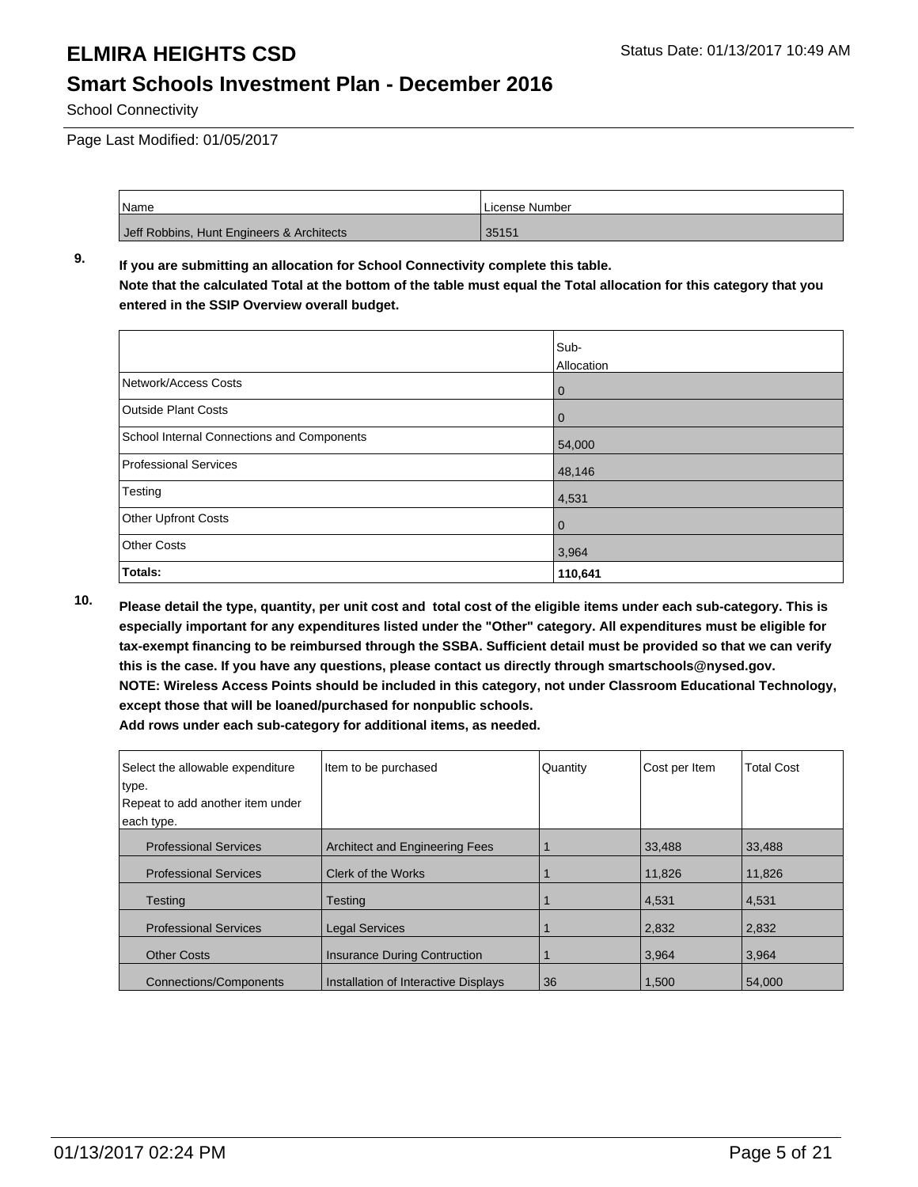### **Smart Schools Investment Plan - December 2016**

School Connectivity

Page Last Modified: 01/05/2017

| <i>Name</i>                               | License Number |
|-------------------------------------------|----------------|
| Jeff Robbins, Hunt Engineers & Architects | 35151          |

**9. If you are submitting an allocation for School Connectivity complete this table. Note that the calculated Total at the bottom of the table must equal the Total allocation for this category that you entered in the SSIP Overview overall budget.** 

|                                            | Sub-<br>Allocation |
|--------------------------------------------|--------------------|
| Network/Access Costs                       | $\mathbf 0$        |
| <b>Outside Plant Costs</b>                 | $\mathbf 0$        |
| School Internal Connections and Components | 54,000             |
| Professional Services                      | 48,146             |
| Testing                                    | 4,531              |
| <b>Other Upfront Costs</b>                 | $\mathbf 0$        |
| <b>Other Costs</b>                         | 3,964              |
| Totals:                                    | 110,641            |

**10. Please detail the type, quantity, per unit cost and total cost of the eligible items under each sub-category. This is especially important for any expenditures listed under the "Other" category. All expenditures must be eligible for tax-exempt financing to be reimbursed through the SSBA. Sufficient detail must be provided so that we can verify this is the case. If you have any questions, please contact us directly through smartschools@nysed.gov. NOTE: Wireless Access Points should be included in this category, not under Classroom Educational Technology, except those that will be loaned/purchased for nonpublic schools.**

| Select the allowable expenditure<br>Item to be purchased |                                       | Quantity | Cost per Item | <b>Total Cost</b> |
|----------------------------------------------------------|---------------------------------------|----------|---------------|-------------------|
| type.                                                    |                                       |          |               |                   |
| Repeat to add another item under                         |                                       |          |               |                   |
| each type.                                               |                                       |          |               |                   |
| <b>Professional Services</b>                             | <b>Architect and Engineering Fees</b> |          | 33,488        | 33,488            |
| <b>Professional Services</b>                             | <b>Clerk of the Works</b>             |          | 11,826        | 11,826            |
| <b>Testing</b>                                           | Testing                               |          | 4,531         | 4,531             |
| <b>Professional Services</b>                             | <b>Legal Services</b>                 |          | 2,832         | 2,832             |
| <b>Other Costs</b>                                       | Insurance During Contruction          |          | 3,964         | 3,964             |
| <b>Connections/Components</b>                            | Installation of Interactive Displays  | 36       | 1,500         | 54,000            |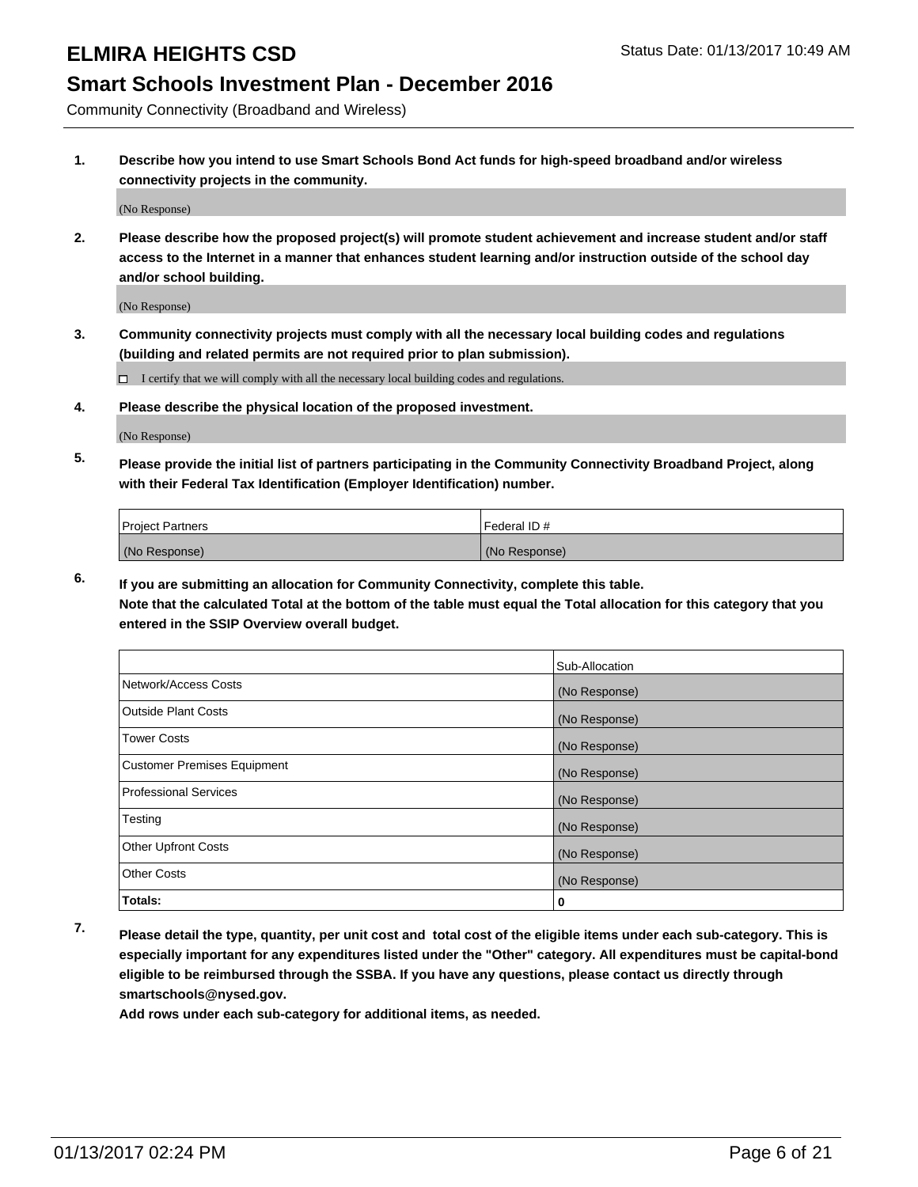## **Smart Schools Investment Plan - December 2016**

Community Connectivity (Broadband and Wireless)

**1. Describe how you intend to use Smart Schools Bond Act funds for high-speed broadband and/or wireless connectivity projects in the community.**

(No Response)

**2. Please describe how the proposed project(s) will promote student achievement and increase student and/or staff access to the Internet in a manner that enhances student learning and/or instruction outside of the school day and/or school building.**

(No Response)

**3. Community connectivity projects must comply with all the necessary local building codes and regulations (building and related permits are not required prior to plan submission).**

 $\Box$  I certify that we will comply with all the necessary local building codes and regulations.

**4. Please describe the physical location of the proposed investment.**

(No Response)

**5. Please provide the initial list of partners participating in the Community Connectivity Broadband Project, along with their Federal Tax Identification (Employer Identification) number.**

| <b>Project Partners</b> | Federal ID#   |
|-------------------------|---------------|
| (No Response)           | (No Response) |

**6. If you are submitting an allocation for Community Connectivity, complete this table.**

**Note that the calculated Total at the bottom of the table must equal the Total allocation for this category that you entered in the SSIP Overview overall budget.**

|                                    | Sub-Allocation |
|------------------------------------|----------------|
| Network/Access Costs               | (No Response)  |
| Outside Plant Costs                | (No Response)  |
| <b>Tower Costs</b>                 | (No Response)  |
| <b>Customer Premises Equipment</b> | (No Response)  |
| Professional Services              | (No Response)  |
| Testing                            | (No Response)  |
| <b>Other Upfront Costs</b>         | (No Response)  |
| <b>Other Costs</b>                 | (No Response)  |
| <b>Totals:</b>                     | o              |

- 
- **7. Please detail the type, quantity, per unit cost and total cost of the eligible items under each sub-category. This is especially important for any expenditures listed under the "Other" category. All expenditures must be capital-bond eligible to be reimbursed through the SSBA. If you have any questions, please contact us directly through smartschools@nysed.gov.**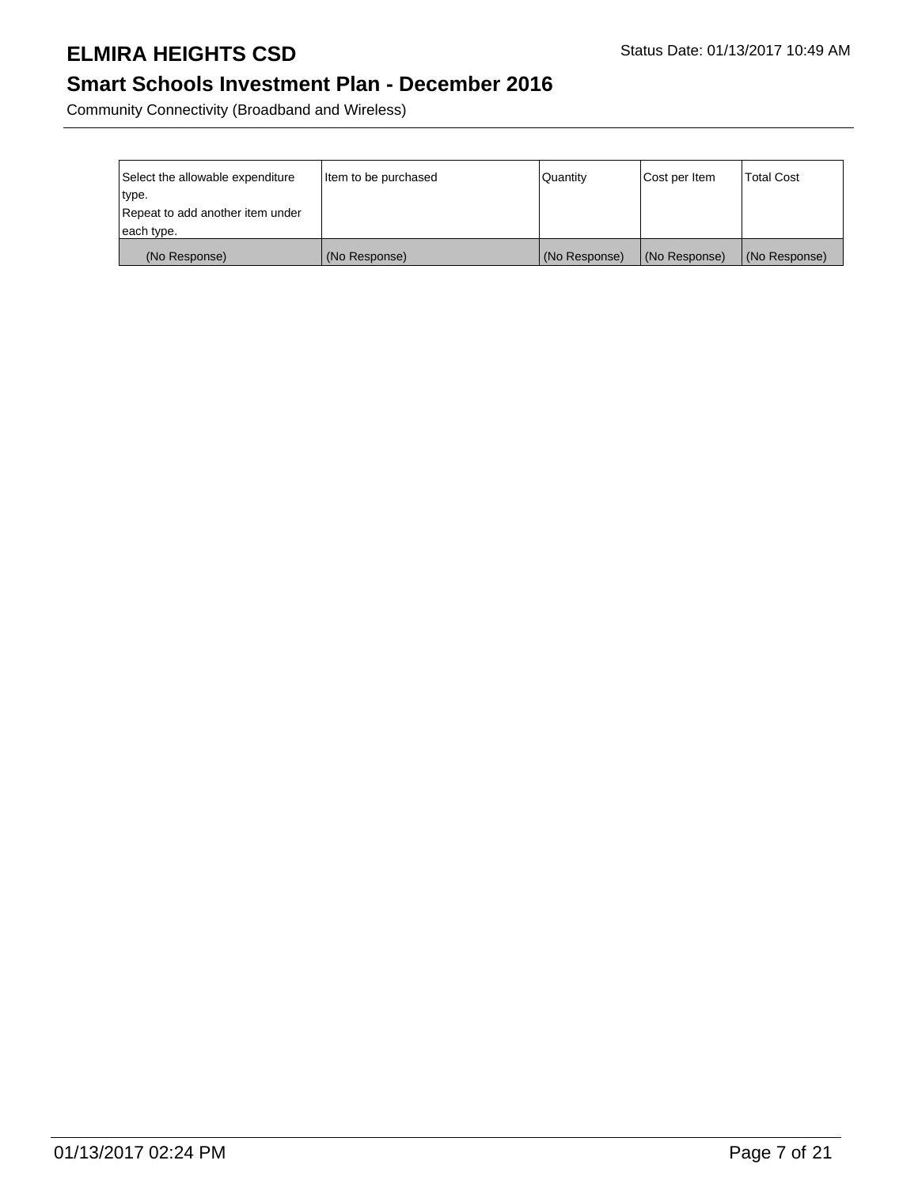## **Smart Schools Investment Plan - December 2016**

Community Connectivity (Broadband and Wireless)

| Select the allowable expenditure | I Item to be purchased | Quantity      | Cost per Item | <b>Total Cost</b> |
|----------------------------------|------------------------|---------------|---------------|-------------------|
| type.                            |                        |               |               |                   |
| Repeat to add another item under |                        |               |               |                   |
| each type.                       |                        |               |               |                   |
| (No Response)                    | (No Response)          | (No Response) | (No Response) | (No Response)     |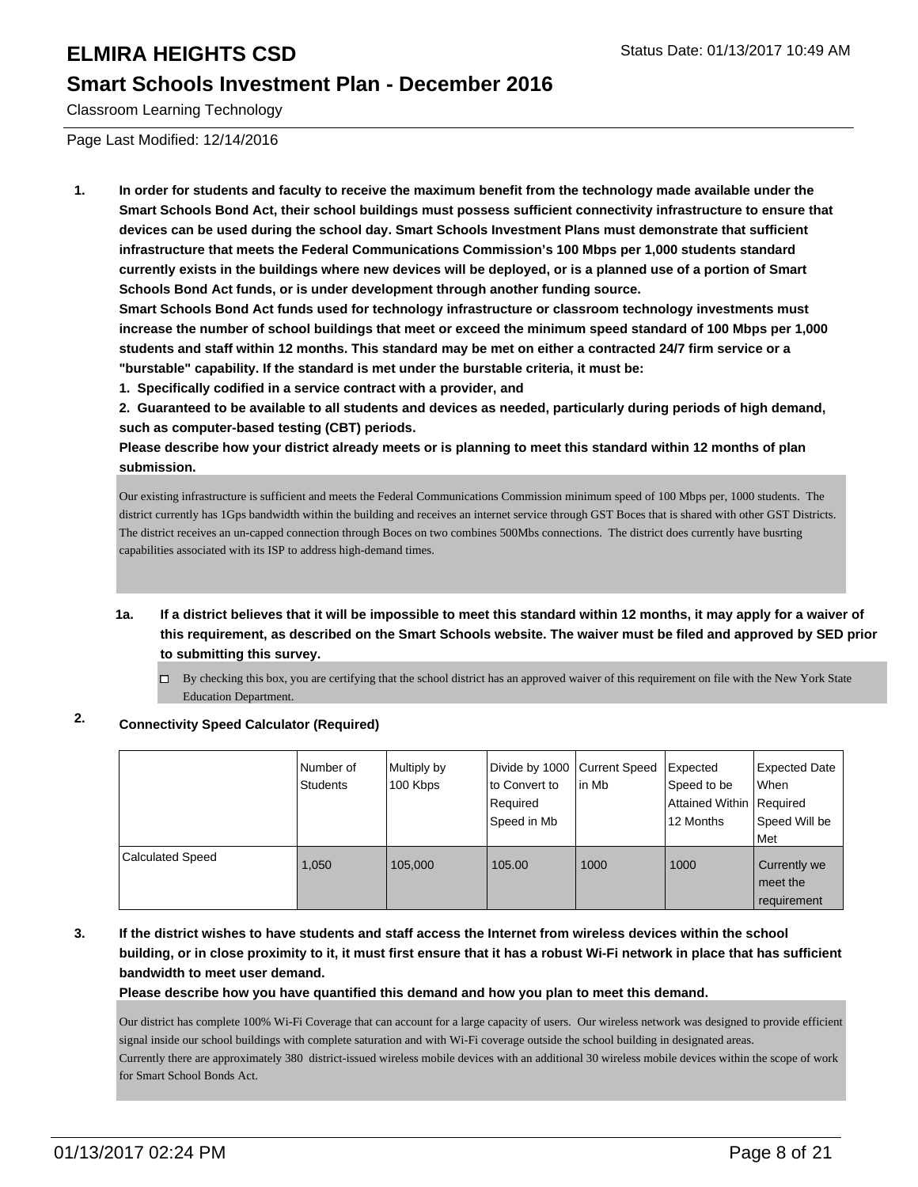### **Smart Schools Investment Plan - December 2016**

Classroom Learning Technology

Page Last Modified: 12/14/2016

**1. In order for students and faculty to receive the maximum benefit from the technology made available under the Smart Schools Bond Act, their school buildings must possess sufficient connectivity infrastructure to ensure that devices can be used during the school day. Smart Schools Investment Plans must demonstrate that sufficient infrastructure that meets the Federal Communications Commission's 100 Mbps per 1,000 students standard currently exists in the buildings where new devices will be deployed, or is a planned use of a portion of Smart Schools Bond Act funds, or is under development through another funding source.**

**Smart Schools Bond Act funds used for technology infrastructure or classroom technology investments must increase the number of school buildings that meet or exceed the minimum speed standard of 100 Mbps per 1,000 students and staff within 12 months. This standard may be met on either a contracted 24/7 firm service or a "burstable" capability. If the standard is met under the burstable criteria, it must be:**

**1. Specifically codified in a service contract with a provider, and**

**2. Guaranteed to be available to all students and devices as needed, particularly during periods of high demand, such as computer-based testing (CBT) periods.**

**Please describe how your district already meets or is planning to meet this standard within 12 months of plan submission.**

Our existing infrastructure is sufficient and meets the Federal Communications Commission minimum speed of 100 Mbps per, 1000 students. The district currently has 1Gps bandwidth within the building and receives an internet service through GST Boces that is shared with other GST Districts. The district receives an un-capped connection through Boces on two combines 500Mbs connections. The district does currently have busrting capabilities associated with its ISP to address high-demand times.

- **1a. If a district believes that it will be impossible to meet this standard within 12 months, it may apply for a waiver of this requirement, as described on the Smart Schools website. The waiver must be filed and approved by SED prior to submitting this survey.**
	- $\Box$  By checking this box, you are certifying that the school district has an approved waiver of this requirement on file with the New York State Education Department.

## **2. Connectivity Speed Calculator (Required)**

|                  | Number of<br><b>Students</b> | Multiply by<br>100 Kbps | to Convert to<br>Required<br>Speed in Mb | Divide by 1000 Current Speed<br>lin Mb | Expected<br>Speed to be<br>Attained Within   Required<br>12 Months | <b>Expected Date</b><br><b>When</b><br>Speed Will be<br>Met |
|------------------|------------------------------|-------------------------|------------------------------------------|----------------------------------------|--------------------------------------------------------------------|-------------------------------------------------------------|
| Calculated Speed | 1.050                        | 105,000                 | 105.00                                   | 1000                                   | 1000                                                               | Currently we<br>meet the<br>requirement                     |

**3. If the district wishes to have students and staff access the Internet from wireless devices within the school building, or in close proximity to it, it must first ensure that it has a robust Wi-Fi network in place that has sufficient bandwidth to meet user demand.**

**Please describe how you have quantified this demand and how you plan to meet this demand.**

Our district has complete 100% Wi-Fi Coverage that can account for a large capacity of users. Our wireless network was designed to provide efficient signal inside our school buildings with complete saturation and with Wi-Fi coverage outside the school building in designated areas. Currently there are approximately 380 district-issued wireless mobile devices with an additional 30 wireless mobile devices within the scope of work for Smart School Bonds Act.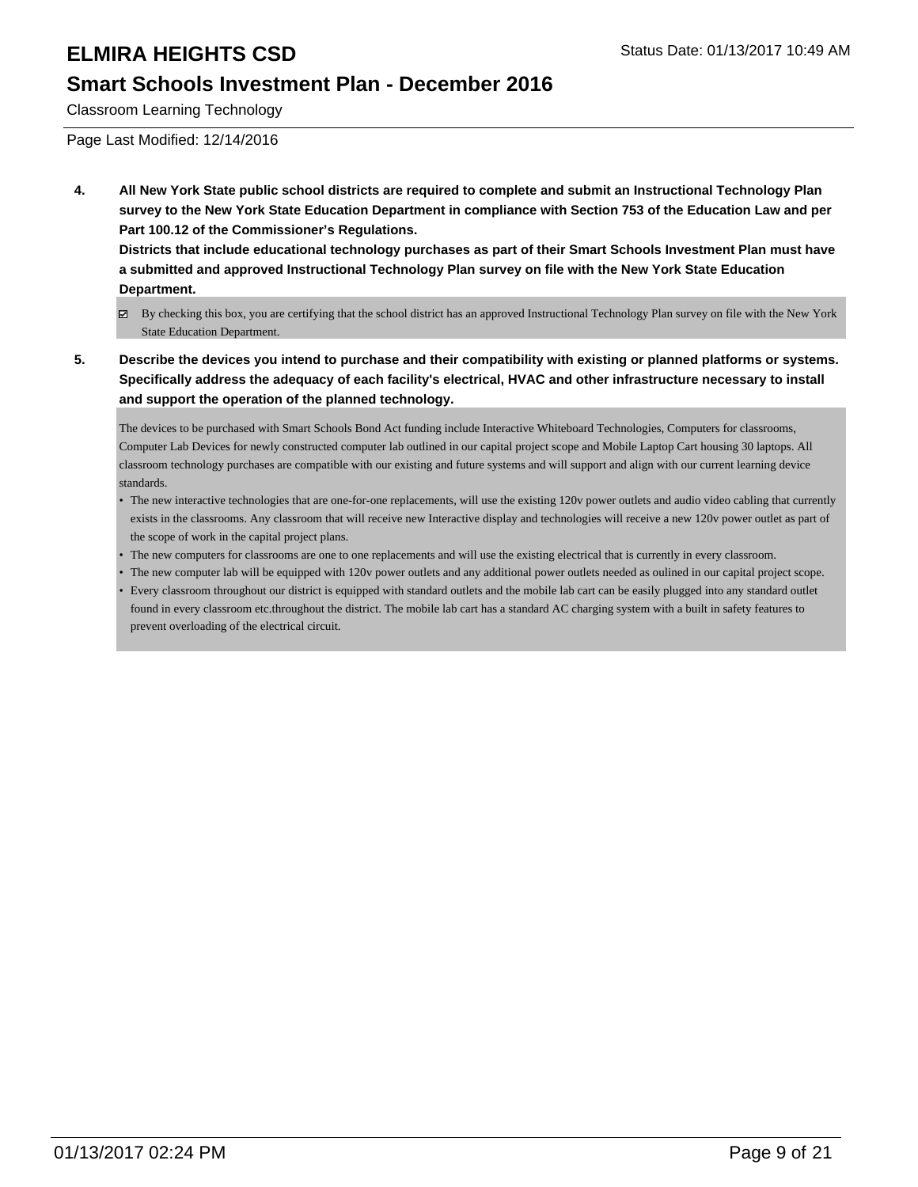### **Smart Schools Investment Plan - December 2016**

Classroom Learning Technology

Page Last Modified: 12/14/2016

**4. All New York State public school districts are required to complete and submit an Instructional Technology Plan survey to the New York State Education Department in compliance with Section 753 of the Education Law and per Part 100.12 of the Commissioner's Regulations.**

**Districts that include educational technology purchases as part of their Smart Schools Investment Plan must have a submitted and approved Instructional Technology Plan survey on file with the New York State Education Department.**

- By checking this box, you are certifying that the school district has an approved Instructional Technology Plan survey on file with the New York State Education Department.
- **5. Describe the devices you intend to purchase and their compatibility with existing or planned platforms or systems. Specifically address the adequacy of each facility's electrical, HVAC and other infrastructure necessary to install and support the operation of the planned technology.**

The devices to be purchased with Smart Schools Bond Act funding include Interactive Whiteboard Technologies, Computers for classrooms, Computer Lab Devices for newly constructed computer lab outlined in our capital project scope and Mobile Laptop Cart housing 30 laptops. All classroom technology purchases are compatible with our existing and future systems and will support and align with our current learning device standards.

- The new interactive technologies that are one-for-one replacements, will use the existing 120v power outlets and audio video cabling that currently exists in the classrooms. Any classroom that will receive new Interactive display and technologies will receive a new 120v power outlet as part of the scope of work in the capital project plans.
- The new computers for classrooms are one to one replacements and will use the existing electrical that is currently in every classroom.
- The new computer lab will be equipped with 120v power outlets and any additional power outlets needed as oulined in our capital project scope.
- Every classroom throughout our district is equipped with standard outlets and the mobile lab cart can be easily plugged into any standard outlet found in every classroom etc.throughout the district. The mobile lab cart has a standard AC charging system with a built in safety features to prevent overloading of the electrical circuit.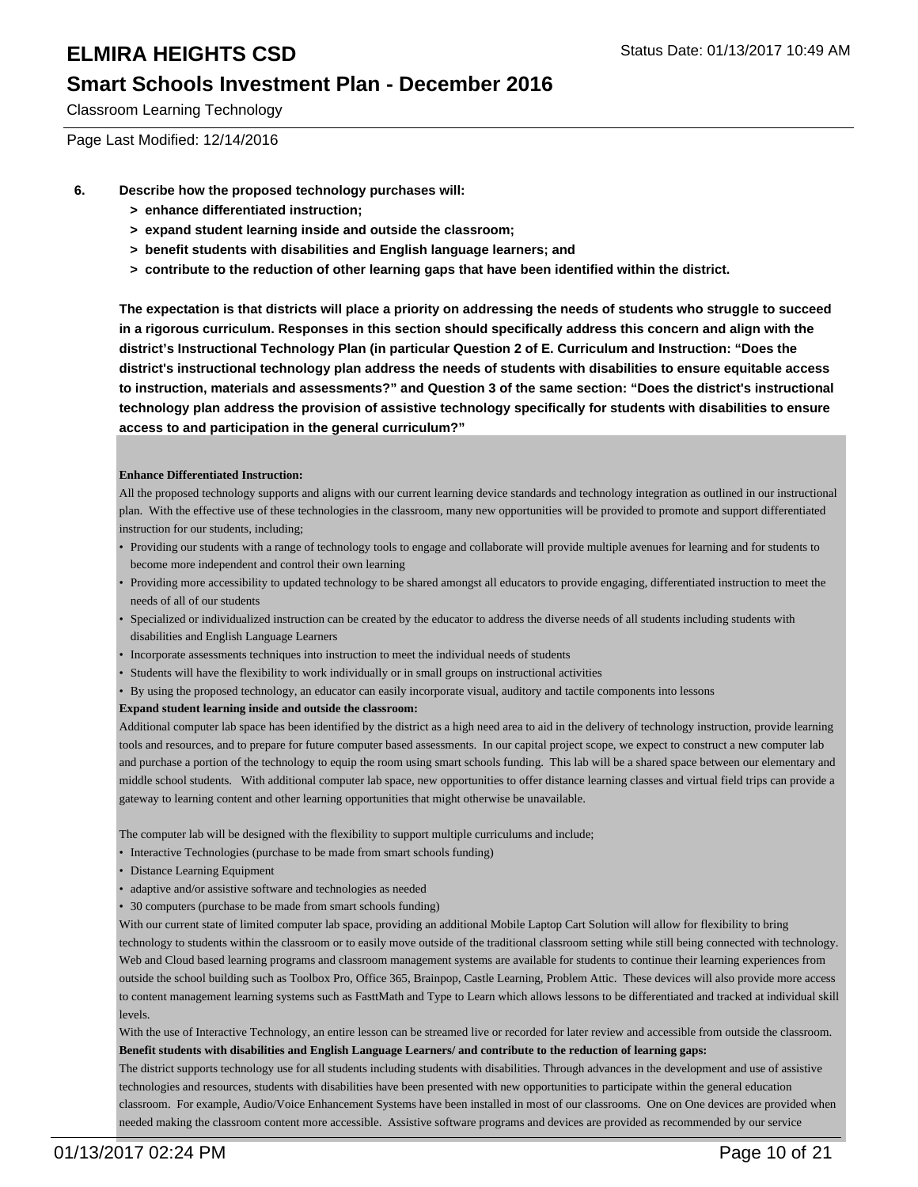### **Smart Schools Investment Plan - December 2016**

Classroom Learning Technology

Page Last Modified: 12/14/2016

- **6. Describe how the proposed technology purchases will:**
	- **> enhance differentiated instruction;**
	- **> expand student learning inside and outside the classroom;**
	- **> benefit students with disabilities and English language learners; and**
	- **> contribute to the reduction of other learning gaps that have been identified within the district.**

**The expectation is that districts will place a priority on addressing the needs of students who struggle to succeed in a rigorous curriculum. Responses in this section should specifically address this concern and align with the district's Instructional Technology Plan (in particular Question 2 of E. Curriculum and Instruction: "Does the district's instructional technology plan address the needs of students with disabilities to ensure equitable access to instruction, materials and assessments?" and Question 3 of the same section: "Does the district's instructional technology plan address the provision of assistive technology specifically for students with disabilities to ensure access to and participation in the general curriculum?"**

#### **Enhance Differentiated Instruction:**

All the proposed technology supports and aligns with our current learning device standards and technology integration as outlined in our instructional plan. With the effective use of these technologies in the classroom, many new opportunities will be provided to promote and support differentiated instruction for our students, including;

- Providing our students with a range of technology tools to engage and collaborate will provide multiple avenues for learning and for students to become more independent and control their own learning
- Providing more accessibility to updated technology to be shared amongst all educators to provide engaging, differentiated instruction to meet the needs of all of our students
- Specialized or individualized instruction can be created by the educator to address the diverse needs of all students including students with disabilities and English Language Learners
- Incorporate assessments techniques into instruction to meet the individual needs of students
- Students will have the flexibility to work individually or in small groups on instructional activities
- By using the proposed technology, an educator can easily incorporate visual, auditory and tactile components into lessons

#### **Expand student learning inside and outside the classroom:**

Additional computer lab space has been identified by the district as a high need area to aid in the delivery of technology instruction, provide learning tools and resources, and to prepare for future computer based assessments. In our capital project scope, we expect to construct a new computer lab and purchase a portion of the technology to equip the room using smart schools funding. This lab will be a shared space between our elementary and middle school students. With additional computer lab space, new opportunities to offer distance learning classes and virtual field trips can provide a gateway to learning content and other learning opportunities that might otherwise be unavailable.

The computer lab will be designed with the flexibility to support multiple curriculums and include;

- Interactive Technologies (purchase to be made from smart schools funding)
- Distance Learning Equipment
- adaptive and/or assistive software and technologies as needed
- 30 computers (purchase to be made from smart schools funding)

With our current state of limited computer lab space, providing an additional Mobile Laptop Cart Solution will allow for flexibility to bring technology to students within the classroom or to easily move outside of the traditional classroom setting while still being connected with technology. Web and Cloud based learning programs and classroom management systems are available for students to continue their learning experiences from outside the school building such as Toolbox Pro, Office 365, Brainpop, Castle Learning, Problem Attic. These devices will also provide more access to content management learning systems such as FasttMath and Type to Learn which allows lessons to be differentiated and tracked at individual skill levels.

With the use of Interactive Technology, an entire lesson can be streamed live or recorded for later review and accessible from outside the classroom. **Benefit students with disabilities and English Language Learners/ and contribute to the reduction of learning gaps:**

The district supports technology use for all students including students with disabilities. Through advances in the development and use of assistive technologies and resources, students with disabilities have been presented with new opportunities to participate within the general education classroom. For example, Audio/Voice Enhancement Systems have been installed in most of our classrooms. One on One devices are provided when needed making the classroom content more accessible. Assistive software programs and devices are provided as recommended by our service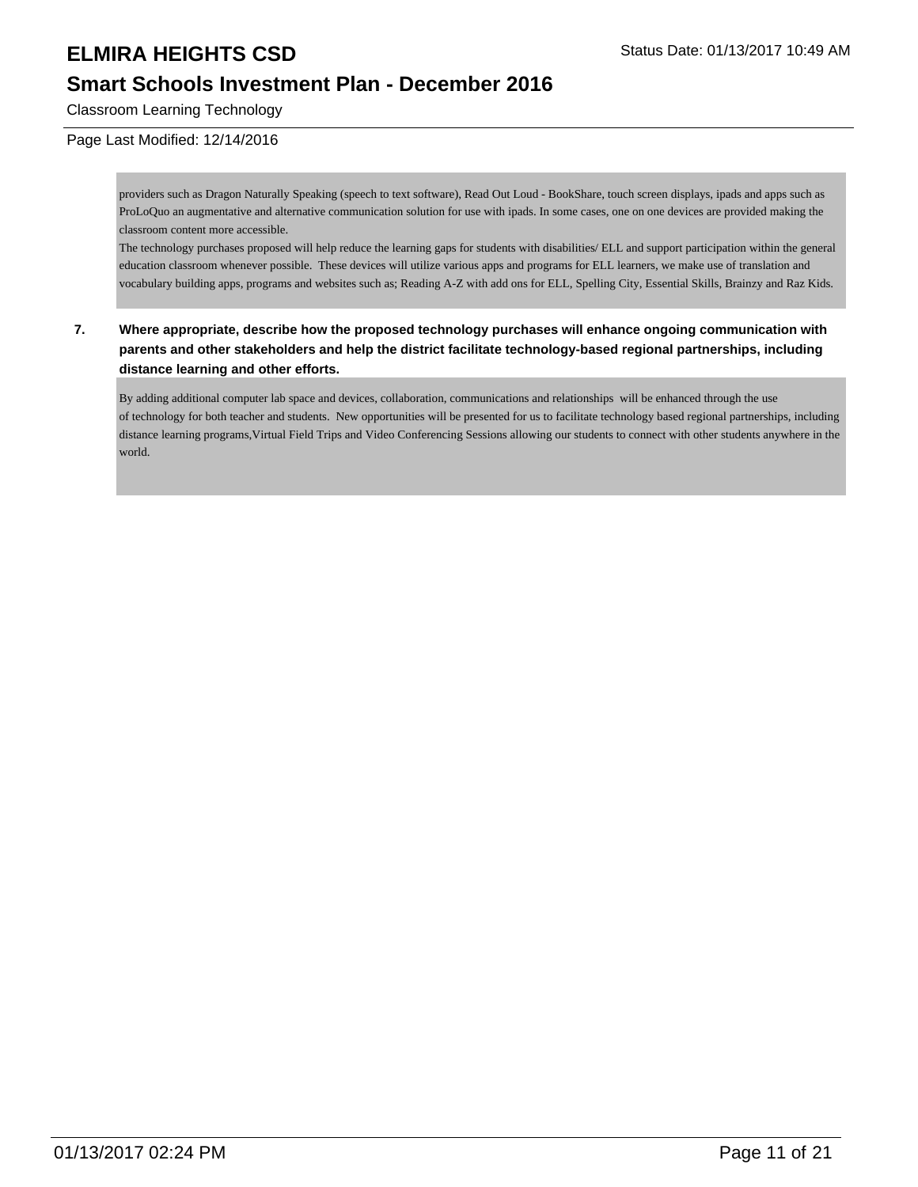### **Smart Schools Investment Plan - December 2016**

Classroom Learning Technology

### Page Last Modified: 12/14/2016

providers such as Dragon Naturally Speaking (speech to text software), Read Out Loud - BookShare, touch screen displays, ipads and apps such as ProLoQuo an augmentative and alternative communication solution for use with ipads. In some cases, one on one devices are provided making the classroom content more accessible.

The technology purchases proposed will help reduce the learning gaps for students with disabilities/ ELL and support participation within the general education classroom whenever possible. These devices will utilize various apps and programs for ELL learners, we make use of translation and vocabulary building apps, programs and websites such as; Reading A-Z with add ons for ELL, Spelling City, Essential Skills, Brainzy and Raz Kids.

### **7. Where appropriate, describe how the proposed technology purchases will enhance ongoing communication with parents and other stakeholders and help the district facilitate technology-based regional partnerships, including distance learning and other efforts.**

By adding additional computer lab space and devices, collaboration, communications and relationships will be enhanced through the use of technology for both teacher and students. New opportunities will be presented for us to facilitate technology based regional partnerships, including distance learning programs,Virtual Field Trips and Video Conferencing Sessions allowing our students to connect with other students anywhere in the world.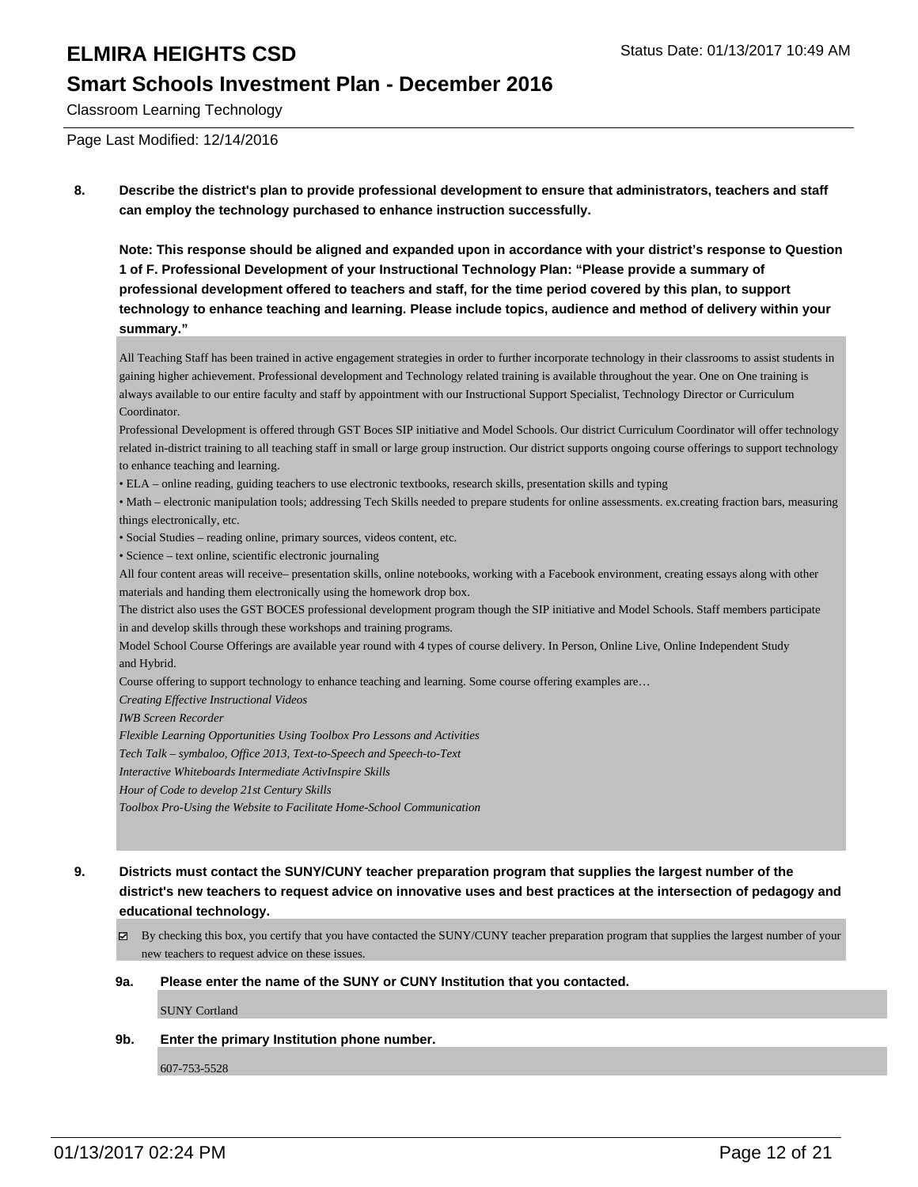### **Smart Schools Investment Plan - December 2016**

Classroom Learning Technology

Page Last Modified: 12/14/2016

**8. Describe the district's plan to provide professional development to ensure that administrators, teachers and staff can employ the technology purchased to enhance instruction successfully.**

**Note: This response should be aligned and expanded upon in accordance with your district's response to Question 1 of F. Professional Development of your Instructional Technology Plan: "Please provide a summary of professional development offered to teachers and staff, for the time period covered by this plan, to support technology to enhance teaching and learning. Please include topics, audience and method of delivery within your summary."**

All Teaching Staff has been trained in active engagement strategies in order to further incorporate technology in their classrooms to assist students in gaining higher achievement. Professional development and Technology related training is available throughout the year. One on One training is always available to our entire faculty and staff by appointment with our Instructional Support Specialist, Technology Director or Curriculum Coordinator.

Professional Development is offered through GST Boces SIP initiative and Model Schools. Our district Curriculum Coordinator will offer technology related in-district training to all teaching staff in small or large group instruction. Our district supports ongoing course offerings to support technology to enhance teaching and learning.

• ELA – online reading, guiding teachers to use electronic textbooks, research skills, presentation skills and typing

• Math – electronic manipulation tools; addressing Tech Skills needed to prepare students for online assessments. ex.creating fraction bars, measuring things electronically, etc.

• Social Studies – reading online, primary sources, videos content, etc.

• Science – text online, scientific electronic journaling

All four content areas will receive– presentation skills, online notebooks, working with a Facebook environment, creating essays along with other materials and handing them electronically using the homework drop box.

The district also uses the GST BOCES professional development program though the SIP initiative and Model Schools. Staff members participate in and develop skills through these workshops and training programs.

Model School Course Offerings are available year round with 4 types of course delivery. In Person, Online Live, Online Independent Study and Hybrid.

Course offering to support technology to enhance teaching and learning. Some course offering examples are…

*Creating Effective Instructional Videos*

*IWB Screen Recorder*

*Flexible Learning Opportunities Using Toolbox Pro Lessons and Activities*

*Tech Talk – symbaloo, Office 2013, Text-to-Speech and Speech-to-Text*

*Interactive Whiteboards Intermediate ActivInspire Skills*

*Hour of Code to develop 21st Century Skills*

*Toolbox Pro-Using the Website to Facilitate Home-School Communication*

- **9. Districts must contact the SUNY/CUNY teacher preparation program that supplies the largest number of the district's new teachers to request advice on innovative uses and best practices at the intersection of pedagogy and educational technology.**
	- By checking this box, you certify that you have contacted the SUNY/CUNY teacher preparation program that supplies the largest number of your new teachers to request advice on these issues.

### **9a. Please enter the name of the SUNY or CUNY Institution that you contacted.**

SUNY Cortland

**9b. Enter the primary Institution phone number.**

607-753-5528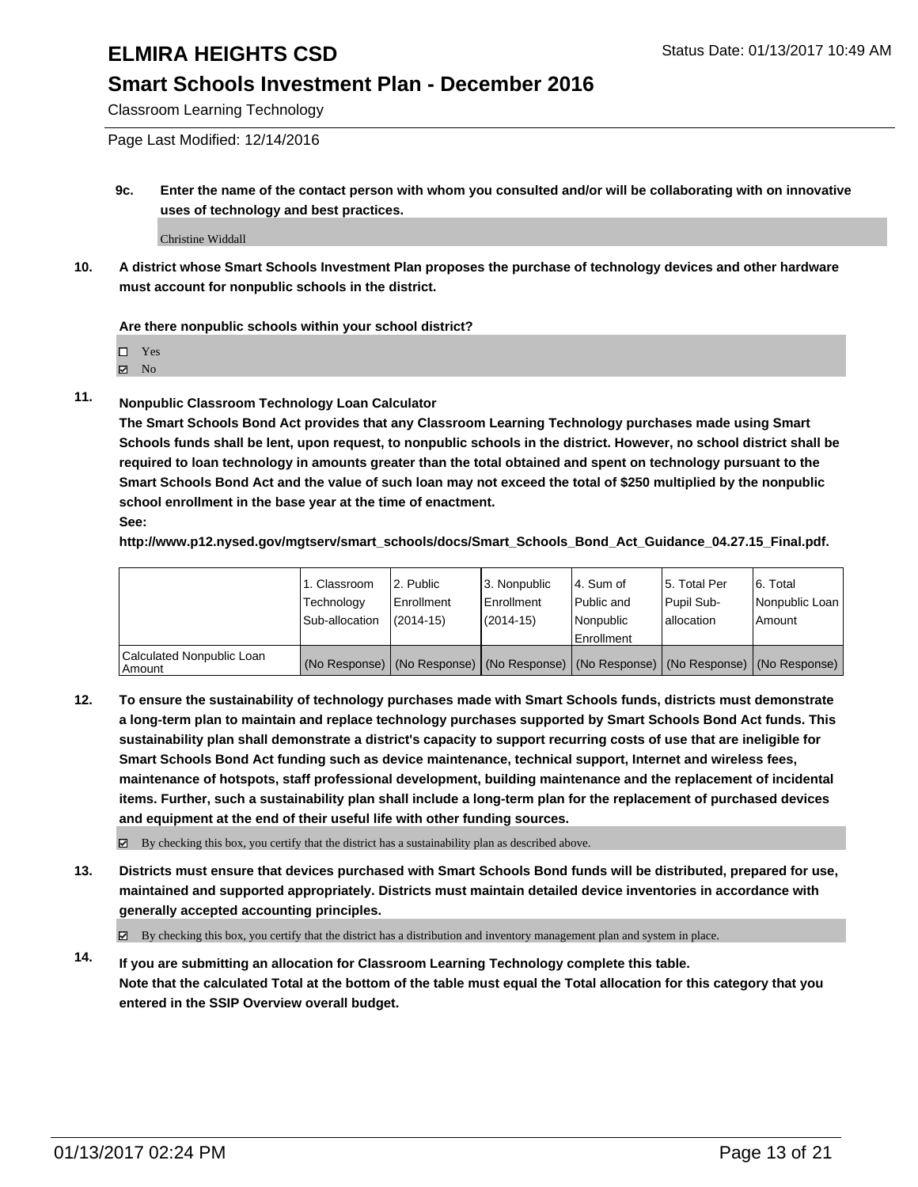### **Smart Schools Investment Plan - December 2016**

Classroom Learning Technology

Page Last Modified: 12/14/2016

**9c. Enter the name of the contact person with whom you consulted and/or will be collaborating with on innovative uses of technology and best practices.**

Christine Widdall

**10. A district whose Smart Schools Investment Plan proposes the purchase of technology devices and other hardware must account for nonpublic schools in the district.**

**Are there nonpublic schools within your school district?**

Yes

 $\boxtimes$  No

**11. Nonpublic Classroom Technology Loan Calculator**

**The Smart Schools Bond Act provides that any Classroom Learning Technology purchases made using Smart Schools funds shall be lent, upon request, to nonpublic schools in the district. However, no school district shall be required to loan technology in amounts greater than the total obtained and spent on technology pursuant to the Smart Schools Bond Act and the value of such loan may not exceed the total of \$250 multiplied by the nonpublic school enrollment in the base year at the time of enactment. See:**

**http://www.p12.nysed.gov/mgtserv/smart\_schools/docs/Smart\_Schools\_Bond\_Act\_Guidance\_04.27.15\_Final.pdf.**

|                                       | 1. Classroom<br>Technology<br>Sub-allocation | l 2. Public<br>Enrollment<br>$(2014 - 15)$ | 3. Nonpublic<br>Enrollment<br>$(2014 - 15)$                                                   | l 4. Sum of<br>l Public and<br>l Nonpublic<br>Enrollment | 5. Total Per<br>Pupil Sub-<br>lallocation | 6. Total<br>Nonpublic Loan<br>Amount |
|---------------------------------------|----------------------------------------------|--------------------------------------------|-----------------------------------------------------------------------------------------------|----------------------------------------------------------|-------------------------------------------|--------------------------------------|
| Calculated Nonpublic Loan<br>  Amount |                                              |                                            | (No Response)   (No Response)   (No Response)   (No Response)   (No Response)   (No Response) |                                                          |                                           |                                      |

**12. To ensure the sustainability of technology purchases made with Smart Schools funds, districts must demonstrate a long-term plan to maintain and replace technology purchases supported by Smart Schools Bond Act funds. This sustainability plan shall demonstrate a district's capacity to support recurring costs of use that are ineligible for Smart Schools Bond Act funding such as device maintenance, technical support, Internet and wireless fees, maintenance of hotspots, staff professional development, building maintenance and the replacement of incidental items. Further, such a sustainability plan shall include a long-term plan for the replacement of purchased devices and equipment at the end of their useful life with other funding sources.**

 $\boxtimes$  By checking this box, you certify that the district has a sustainability plan as described above.

**13. Districts must ensure that devices purchased with Smart Schools Bond funds will be distributed, prepared for use, maintained and supported appropriately. Districts must maintain detailed device inventories in accordance with generally accepted accounting principles.**

By checking this box, you certify that the district has a distribution and inventory management plan and system in place.

**14. If you are submitting an allocation for Classroom Learning Technology complete this table. Note that the calculated Total at the bottom of the table must equal the Total allocation for this category that you entered in the SSIP Overview overall budget.**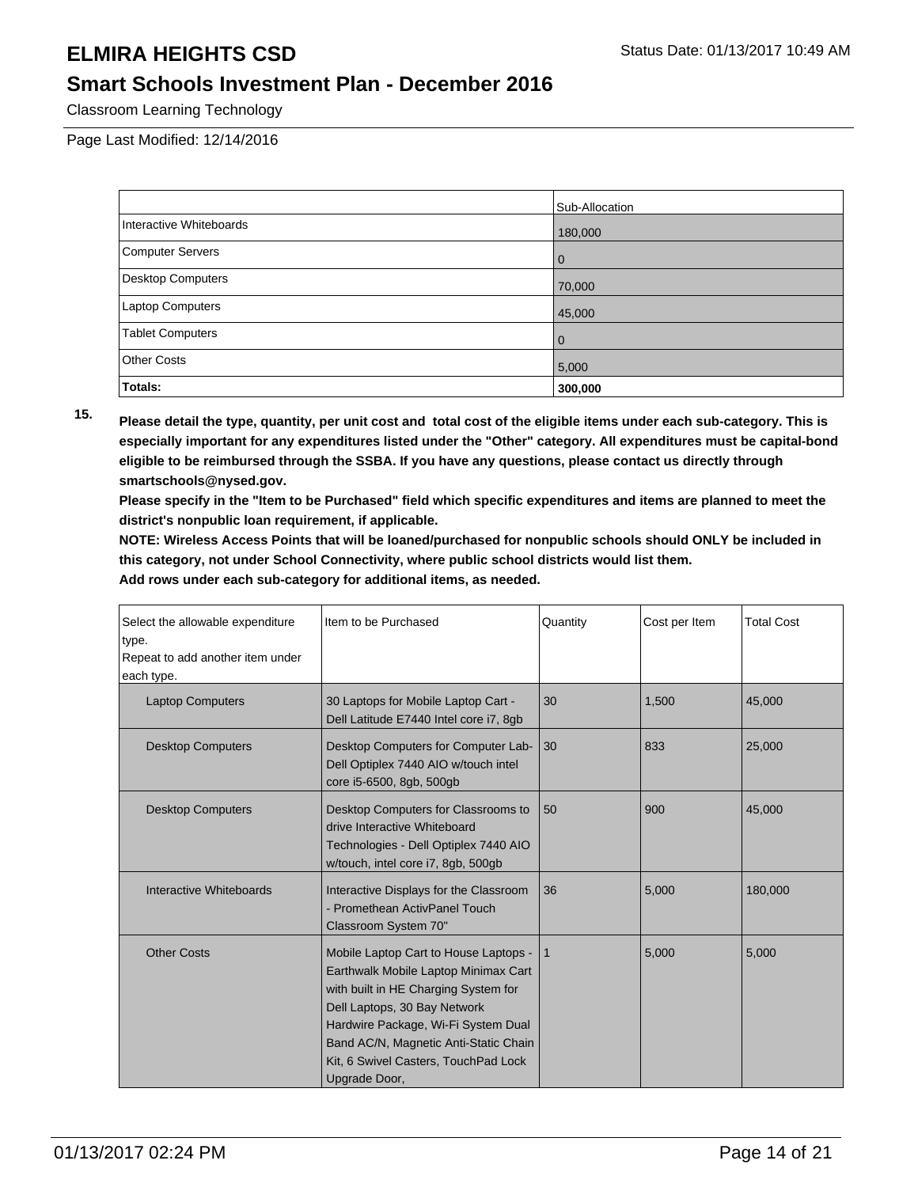### **Smart Schools Investment Plan - December 2016**

Classroom Learning Technology

Page Last Modified: 12/14/2016

|                          | Sub-Allocation |
|--------------------------|----------------|
| Interactive Whiteboards  | 180,000        |
| <b>Computer Servers</b>  | 0              |
| <b>Desktop Computers</b> | 70,000         |
| Laptop Computers         | 45,000         |
| <b>Tablet Computers</b>  | $\Omega$       |
| <b>Other Costs</b>       | 5,000          |
| Totals:                  | 300,000        |

**15. Please detail the type, quantity, per unit cost and total cost of the eligible items under each sub-category. This is especially important for any expenditures listed under the "Other" category. All expenditures must be capital-bond eligible to be reimbursed through the SSBA. If you have any questions, please contact us directly through smartschools@nysed.gov.**

**Please specify in the "Item to be Purchased" field which specific expenditures and items are planned to meet the district's nonpublic loan requirement, if applicable.**

**NOTE: Wireless Access Points that will be loaned/purchased for nonpublic schools should ONLY be included in this category, not under School Connectivity, where public school districts would list them.**

| Select the allowable expenditure<br>type.<br>Repeat to add another item under<br>each type. | Item to be Purchased                                                                                                                                                                                                                                                                           | Quantity     | Cost per Item | <b>Total Cost</b> |
|---------------------------------------------------------------------------------------------|------------------------------------------------------------------------------------------------------------------------------------------------------------------------------------------------------------------------------------------------------------------------------------------------|--------------|---------------|-------------------|
| <b>Laptop Computers</b>                                                                     | 30 Laptops for Mobile Laptop Cart -<br>Dell Latitude E7440 Intel core i7, 8gb                                                                                                                                                                                                                  | 30           | 1,500         | 45,000            |
| <b>Desktop Computers</b>                                                                    | Desktop Computers for Computer Lab-<br>Dell Optiplex 7440 AIO w/touch intel<br>core i5-6500, 8gb, 500gb                                                                                                                                                                                        | 30           | 833           | 25,000            |
| <b>Desktop Computers</b>                                                                    | Desktop Computers for Classrooms to<br>drive Interactive Whiteboard<br>Technologies - Dell Optiplex 7440 AIO<br>w/touch, intel core i7, 8gb, 500gb                                                                                                                                             | 50           | 900           | 45,000            |
| Interactive Whiteboards                                                                     | Interactive Displays for the Classroom<br>- Promethean ActivPanel Touch<br>Classroom System 70"                                                                                                                                                                                                | 36           | 5,000         | 180,000           |
| <b>Other Costs</b>                                                                          | Mobile Laptop Cart to House Laptops -<br>Earthwalk Mobile Laptop Minimax Cart<br>with built in HE Charging System for<br>Dell Laptops, 30 Bay Network<br>Hardwire Package, Wi-Fi System Dual<br>Band AC/N, Magnetic Anti-Static Chain<br>Kit, 6 Swivel Casters, TouchPad Lock<br>Upgrade Door, | $\mathbf{1}$ | 5,000         | 5,000             |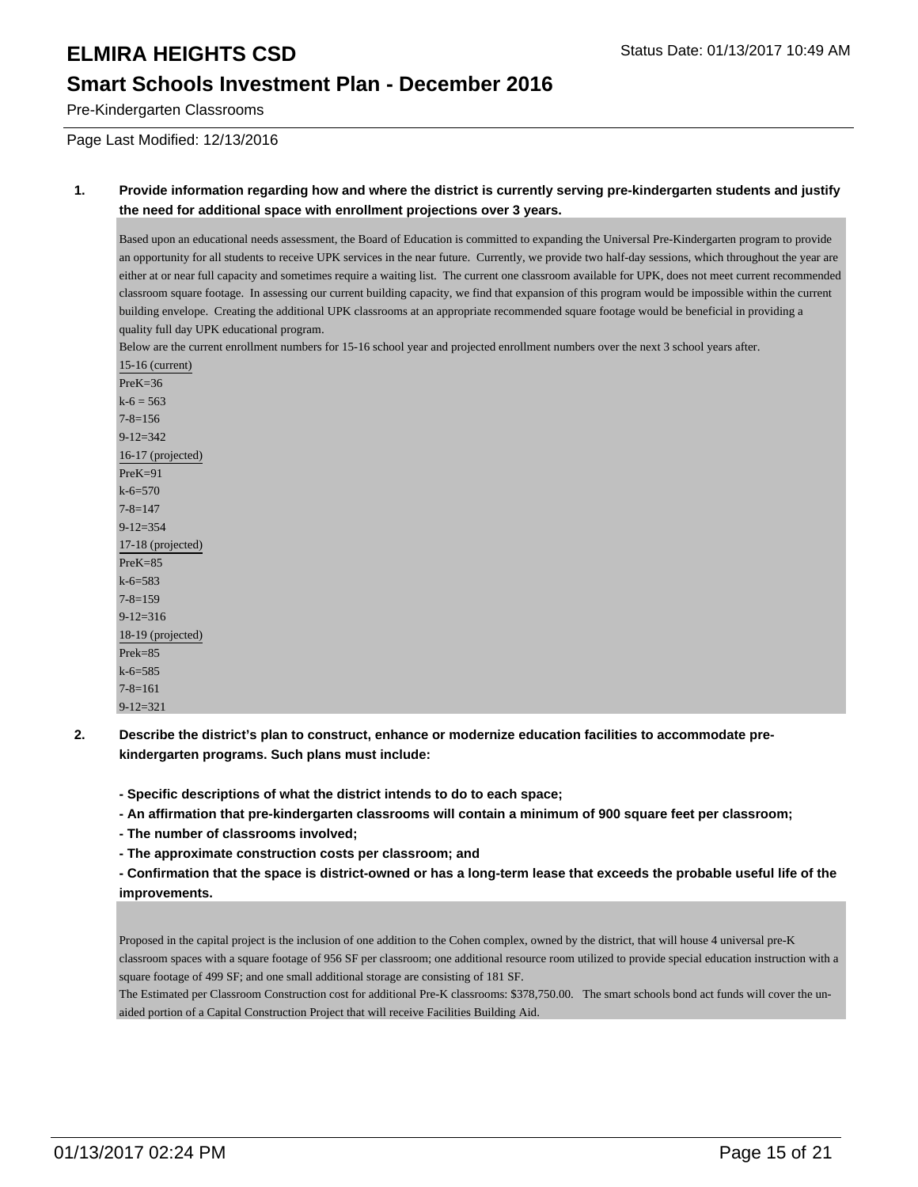### **Smart Schools Investment Plan - December 2016**

Pre-Kindergarten Classrooms

Page Last Modified: 12/13/2016

### **1. Provide information regarding how and where the district is currently serving pre-kindergarten students and justify the need for additional space with enrollment projections over 3 years.**

Based upon an educational needs assessment, the Board of Education is committed to expanding the Universal Pre-Kindergarten program to provide an opportunity for all students to receive UPK services in the near future. Currently, we provide two half-day sessions, which throughout the year are either at or near full capacity and sometimes require a waiting list. The current one classroom available for UPK, does not meet current recommended classroom square footage. In assessing our current building capacity, we find that expansion of this program would be impossible within the current building envelope. Creating the additional UPK classrooms at an appropriate recommended square footage would be beneficial in providing a quality full day UPK educational program.

Below are the current enrollment numbers for 15-16 school year and projected enrollment numbers over the next 3 school years after. 15-16 (current)

| $13 - 10$ (current) |
|---------------------|
| $PreK=36$           |
| $k - 6 = 563$       |
| $7 - 8 = 156$       |
| $9 - 12 = 342$      |
| 16-17 (projected)   |
| $PreK=91$           |
| $k - 6 = 570$       |
| $7 - 8 = 147$       |
| 9-12=354            |
| 17-18 (projected)   |
| $PreK=85$           |
| $k - 6 = 583$       |
| 7-8=159             |
| $9 - 12 = 316$      |
| 18-19 (projected)   |
| Prek=85             |
| $k - 6 = 585$       |
| $7 - 8 = 161$       |
| $9 - 12 = 321$      |

- **2. Describe the district's plan to construct, enhance or modernize education facilities to accommodate prekindergarten programs. Such plans must include:**
	- **Specific descriptions of what the district intends to do to each space;**
	- **An affirmation that pre-kindergarten classrooms will contain a minimum of 900 square feet per classroom;**
	- **The number of classrooms involved;**
	- **The approximate construction costs per classroom; and**

**- Confirmation that the space is district-owned or has a long-term lease that exceeds the probable useful life of the improvements.**

Proposed in the capital project is the inclusion of one addition to the Cohen complex, owned by the district, that will house 4 universal pre-K classroom spaces with a square footage of 956 SF per classroom; one additional resource room utilized to provide special education instruction with a square footage of 499 SF; and one small additional storage are consisting of 181 SF.

The Estimated per Classroom Construction cost for additional Pre-K classrooms: \$378,750.00. The smart schools bond act funds will cover the unaided portion of a Capital Construction Project that will receive Facilities Building Aid.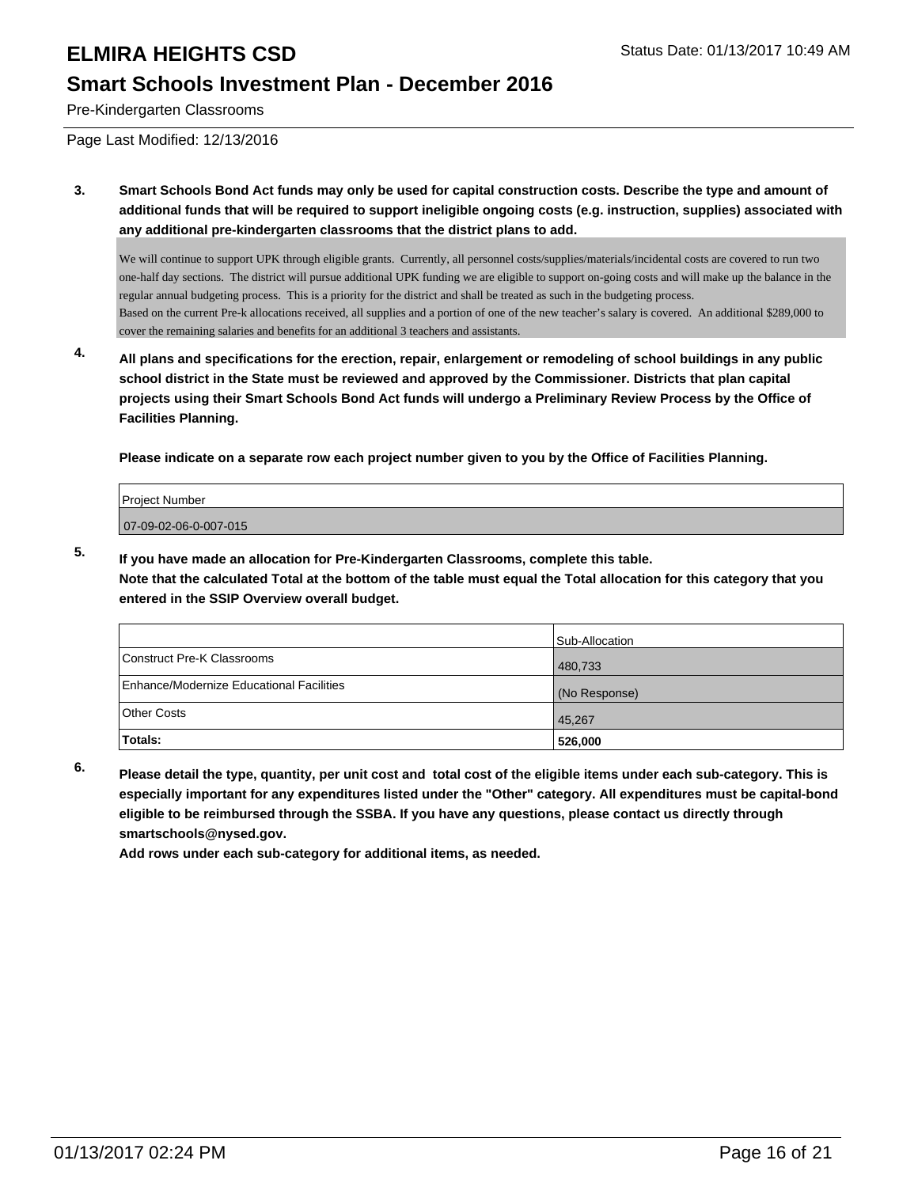### **Smart Schools Investment Plan - December 2016**

Pre-Kindergarten Classrooms

Page Last Modified: 12/13/2016

**3. Smart Schools Bond Act funds may only be used for capital construction costs. Describe the type and amount of additional funds that will be required to support ineligible ongoing costs (e.g. instruction, supplies) associated with any additional pre-kindergarten classrooms that the district plans to add.**

We will continue to support UPK through eligible grants. Currently, all personnel costs/supplies/materials/incidental costs are covered to run two one-half day sections. The district will pursue additional UPK funding we are eligible to support on-going costs and will make up the balance in the regular annual budgeting process. This is a priority for the district and shall be treated as such in the budgeting process. Based on the current Pre-k allocations received, all supplies and a portion of one of the new teacher's salary is covered. An additional \$289,000 to cover the remaining salaries and benefits for an additional 3 teachers and assistants.

**4. All plans and specifications for the erection, repair, enlargement or remodeling of school buildings in any public school district in the State must be reviewed and approved by the Commissioner. Districts that plan capital projects using their Smart Schools Bond Act funds will undergo a Preliminary Review Process by the Office of Facilities Planning.**

**Please indicate on a separate row each project number given to you by the Office of Facilities Planning.**

| Proiect Number        |  |
|-----------------------|--|
| 07-09-02-06-0-007-015 |  |

**5. If you have made an allocation for Pre-Kindergarten Classrooms, complete this table.**

**Note that the calculated Total at the bottom of the table must equal the Total allocation for this category that you entered in the SSIP Overview overall budget.**

|                                          | Sub-Allocation |
|------------------------------------------|----------------|
| Construct Pre-K Classrooms               | 480,733        |
| Enhance/Modernize Educational Facilities | (No Response)  |
| Other Costs                              | 45,267         |
| Totals:                                  | 526,000        |

**6. Please detail the type, quantity, per unit cost and total cost of the eligible items under each sub-category. This is especially important for any expenditures listed under the "Other" category. All expenditures must be capital-bond eligible to be reimbursed through the SSBA. If you have any questions, please contact us directly through smartschools@nysed.gov.**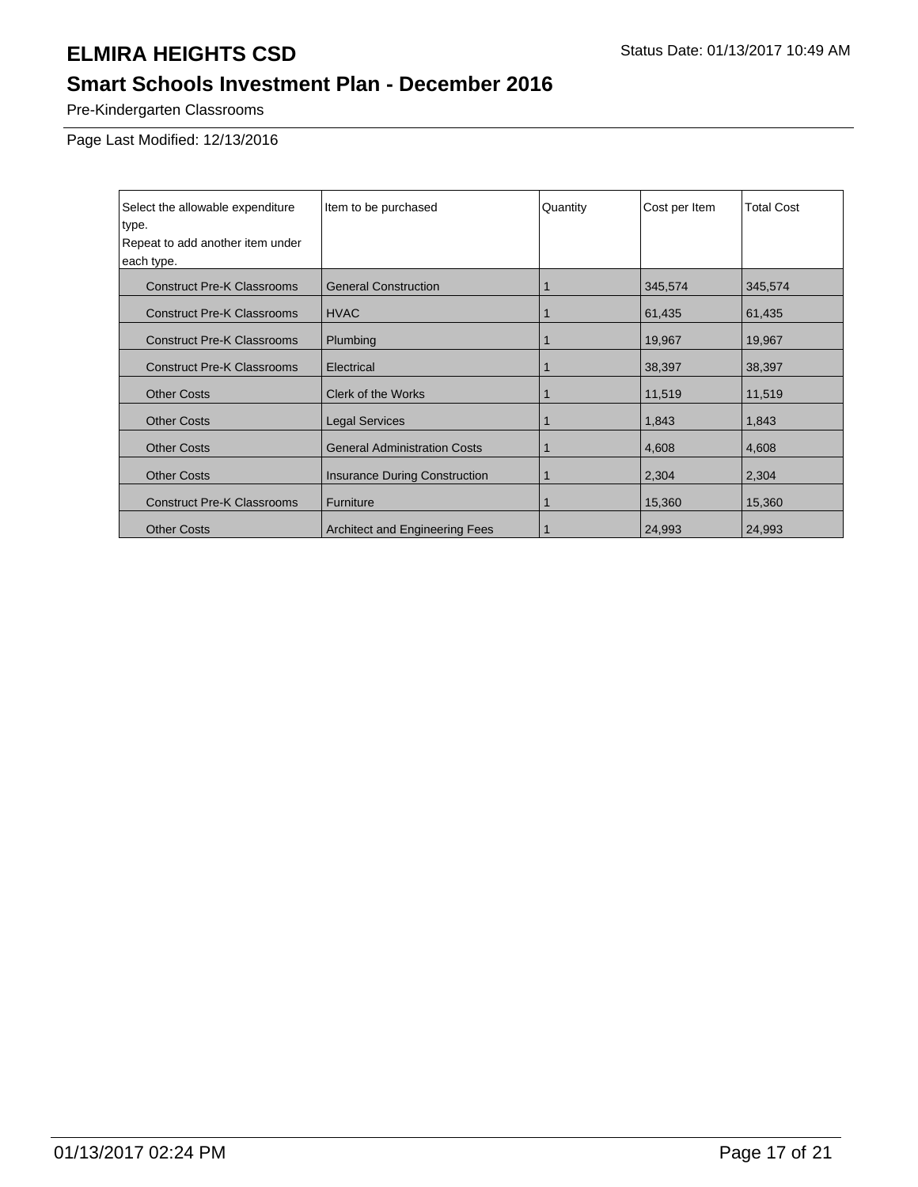## **Smart Schools Investment Plan - December 2016**

Pre-Kindergarten Classrooms

Page Last Modified: 12/13/2016

| Select the allowable expenditure<br>type. | Item to be purchased                  | Quantity | Cost per Item | <b>Total Cost</b> |
|-------------------------------------------|---------------------------------------|----------|---------------|-------------------|
| Repeat to add another item under          |                                       |          |               |                   |
| each type.                                |                                       |          |               |                   |
| <b>Construct Pre-K Classrooms</b>         | <b>General Construction</b>           |          | 345,574       | 345,574           |
| <b>Construct Pre-K Classrooms</b>         | <b>HVAC</b>                           |          | 61,435        | 61,435            |
| <b>Construct Pre-K Classrooms</b>         | Plumbing                              |          | 19,967        | 19,967            |
| <b>Construct Pre-K Classrooms</b>         | Electrical                            |          | 38,397        | 38,397            |
| <b>Other Costs</b>                        | Clerk of the Works                    |          | 11,519        | 11,519            |
| <b>Other Costs</b>                        | <b>Legal Services</b>                 |          | 1,843         | 1,843             |
| <b>Other Costs</b>                        | <b>General Administration Costs</b>   |          | 4,608         | 4,608             |
| <b>Other Costs</b>                        | <b>Insurance During Construction</b>  |          | 2,304         | 2,304             |
| <b>Construct Pre-K Classrooms</b>         | Furniture                             |          | 15,360        | 15,360            |
| <b>Other Costs</b>                        | <b>Architect and Engineering Fees</b> |          | 24,993        | 24,993            |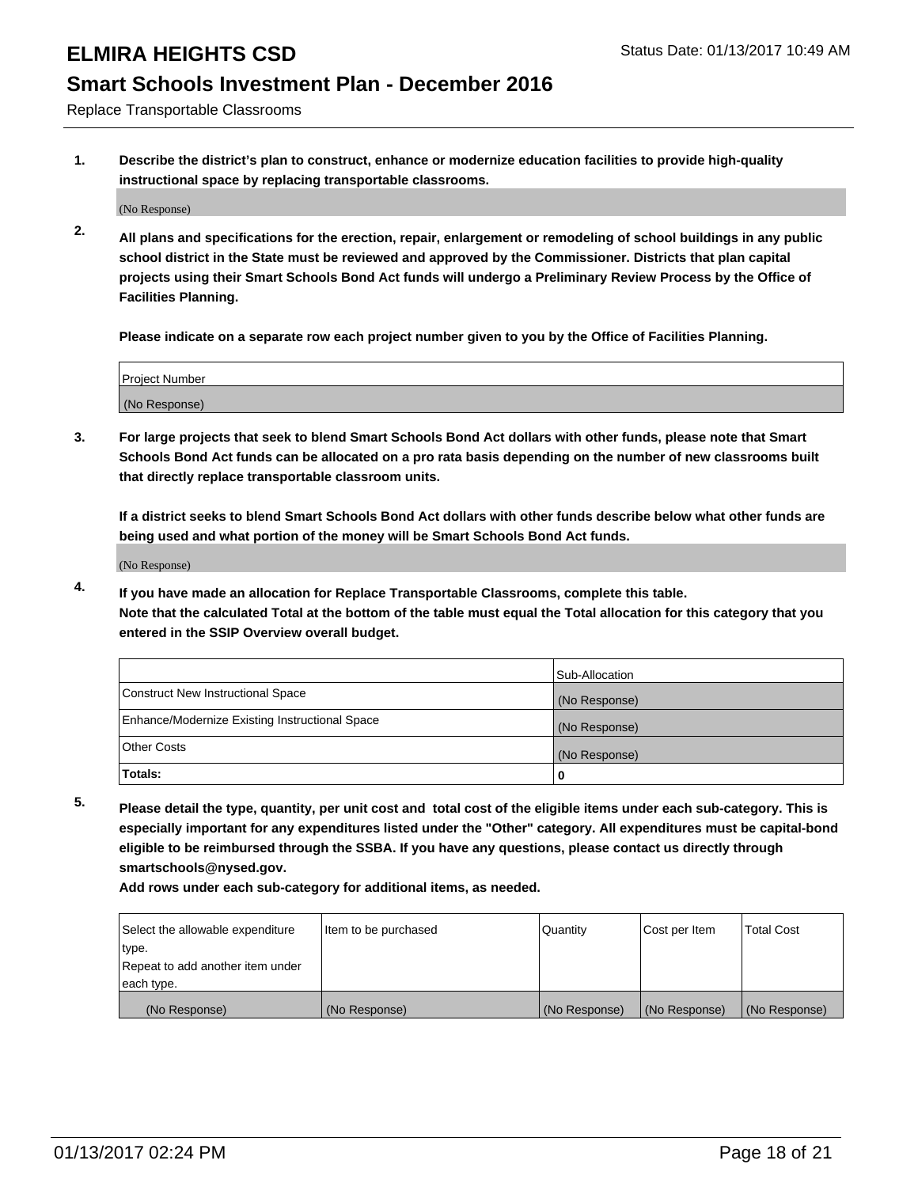### **Smart Schools Investment Plan - December 2016**

Replace Transportable Classrooms

**1. Describe the district's plan to construct, enhance or modernize education facilities to provide high-quality instructional space by replacing transportable classrooms.**

(No Response)

**2. All plans and specifications for the erection, repair, enlargement or remodeling of school buildings in any public school district in the State must be reviewed and approved by the Commissioner. Districts that plan capital projects using their Smart Schools Bond Act funds will undergo a Preliminary Review Process by the Office of Facilities Planning.**

**Please indicate on a separate row each project number given to you by the Office of Facilities Planning.**

| Project Number |  |
|----------------|--|
|                |  |
| (No Response)  |  |
|                |  |

**3. For large projects that seek to blend Smart Schools Bond Act dollars with other funds, please note that Smart Schools Bond Act funds can be allocated on a pro rata basis depending on the number of new classrooms built that directly replace transportable classroom units.**

**If a district seeks to blend Smart Schools Bond Act dollars with other funds describe below what other funds are being used and what portion of the money will be Smart Schools Bond Act funds.**

(No Response)

**4. If you have made an allocation for Replace Transportable Classrooms, complete this table. Note that the calculated Total at the bottom of the table must equal the Total allocation for this category that you entered in the SSIP Overview overall budget.**

|                                                | Sub-Allocation |
|------------------------------------------------|----------------|
| Construct New Instructional Space              | (No Response)  |
| Enhance/Modernize Existing Instructional Space | (No Response)  |
| Other Costs                                    | (No Response)  |
| Totals:                                        | 0              |

**5. Please detail the type, quantity, per unit cost and total cost of the eligible items under each sub-category. This is especially important for any expenditures listed under the "Other" category. All expenditures must be capital-bond eligible to be reimbursed through the SSBA. If you have any questions, please contact us directly through smartschools@nysed.gov.**

| Select the allowable expenditure | litem to be purchased | Quantity      | Cost per Item | <b>Total Cost</b> |
|----------------------------------|-----------------------|---------------|---------------|-------------------|
| type.                            |                       |               |               |                   |
| Repeat to add another item under |                       |               |               |                   |
| each type.                       |                       |               |               |                   |
| (No Response)                    | (No Response)         | (No Response) | (No Response) | (No Response)     |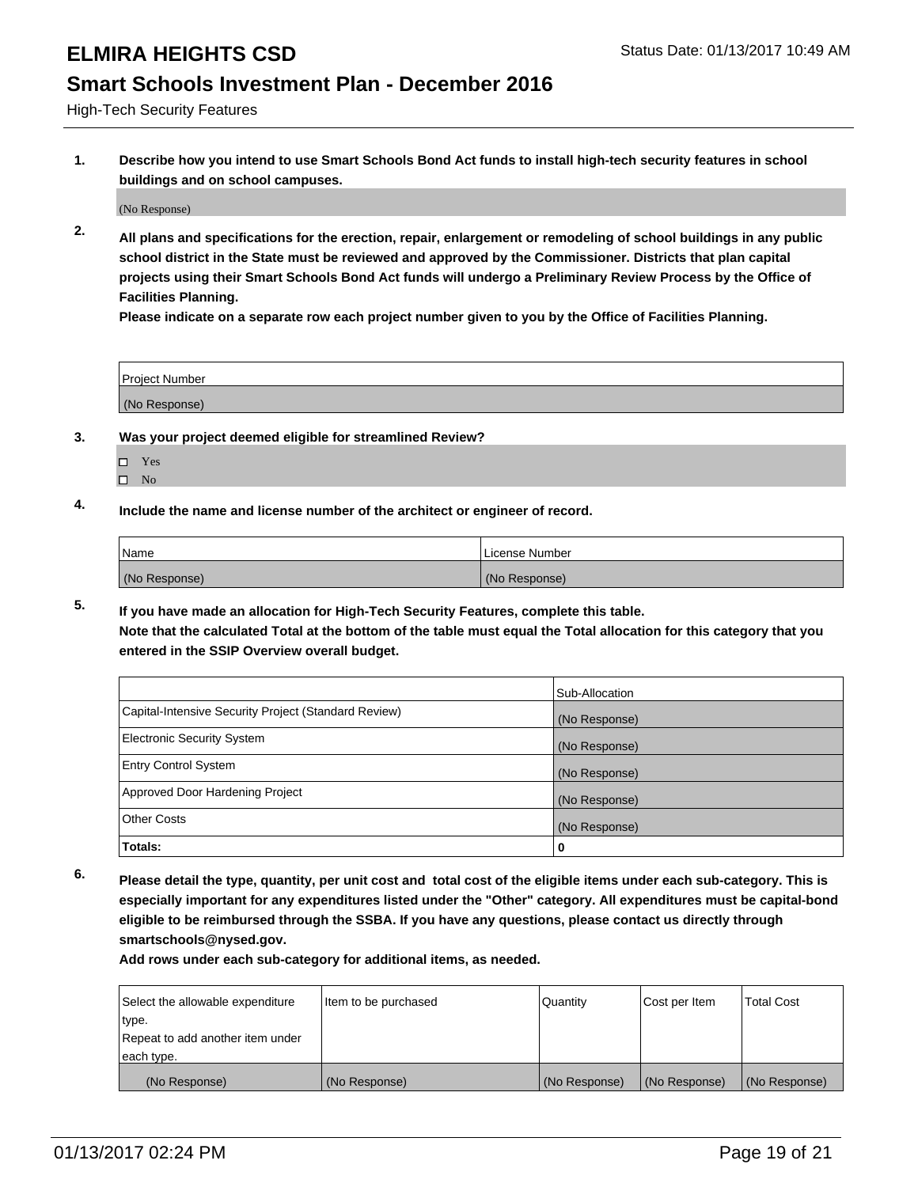### **Smart Schools Investment Plan - December 2016**

High-Tech Security Features

**1. Describe how you intend to use Smart Schools Bond Act funds to install high-tech security features in school buildings and on school campuses.**

(No Response)

**2. All plans and specifications for the erection, repair, enlargement or remodeling of school buildings in any public school district in the State must be reviewed and approved by the Commissioner. Districts that plan capital projects using their Smart Schools Bond Act funds will undergo a Preliminary Review Process by the Office of Facilities Planning.** 

**Please indicate on a separate row each project number given to you by the Office of Facilities Planning.**

| Project Number |  |
|----------------|--|
| (No Response)  |  |

- **3. Was your project deemed eligible for streamlined Review?**
	- Yes
	- $\square$  No
- **4. Include the name and license number of the architect or engineer of record.**

| <b>Name</b>   | License Number |
|---------------|----------------|
| (No Response) | (No Response)  |

**5. If you have made an allocation for High-Tech Security Features, complete this table. Note that the calculated Total at the bottom of the table must equal the Total allocation for this category that you entered in the SSIP Overview overall budget.**

|                                                      | Sub-Allocation |
|------------------------------------------------------|----------------|
| Capital-Intensive Security Project (Standard Review) | (No Response)  |
| <b>Electronic Security System</b>                    | (No Response)  |
| <b>Entry Control System</b>                          | (No Response)  |
| Approved Door Hardening Project                      | (No Response)  |
| <b>Other Costs</b>                                   | (No Response)  |
| Totals:                                              | 0              |

**6. Please detail the type, quantity, per unit cost and total cost of the eligible items under each sub-category. This is especially important for any expenditures listed under the "Other" category. All expenditures must be capital-bond eligible to be reimbursed through the SSBA. If you have any questions, please contact us directly through smartschools@nysed.gov.**

| Select the allowable expenditure | Item to be purchased | Quantity      | Cost per Item | Total Cost    |
|----------------------------------|----------------------|---------------|---------------|---------------|
| type.                            |                      |               |               |               |
| Repeat to add another item under |                      |               |               |               |
| each type.                       |                      |               |               |               |
| (No Response)                    | (No Response)        | (No Response) | (No Response) | (No Response) |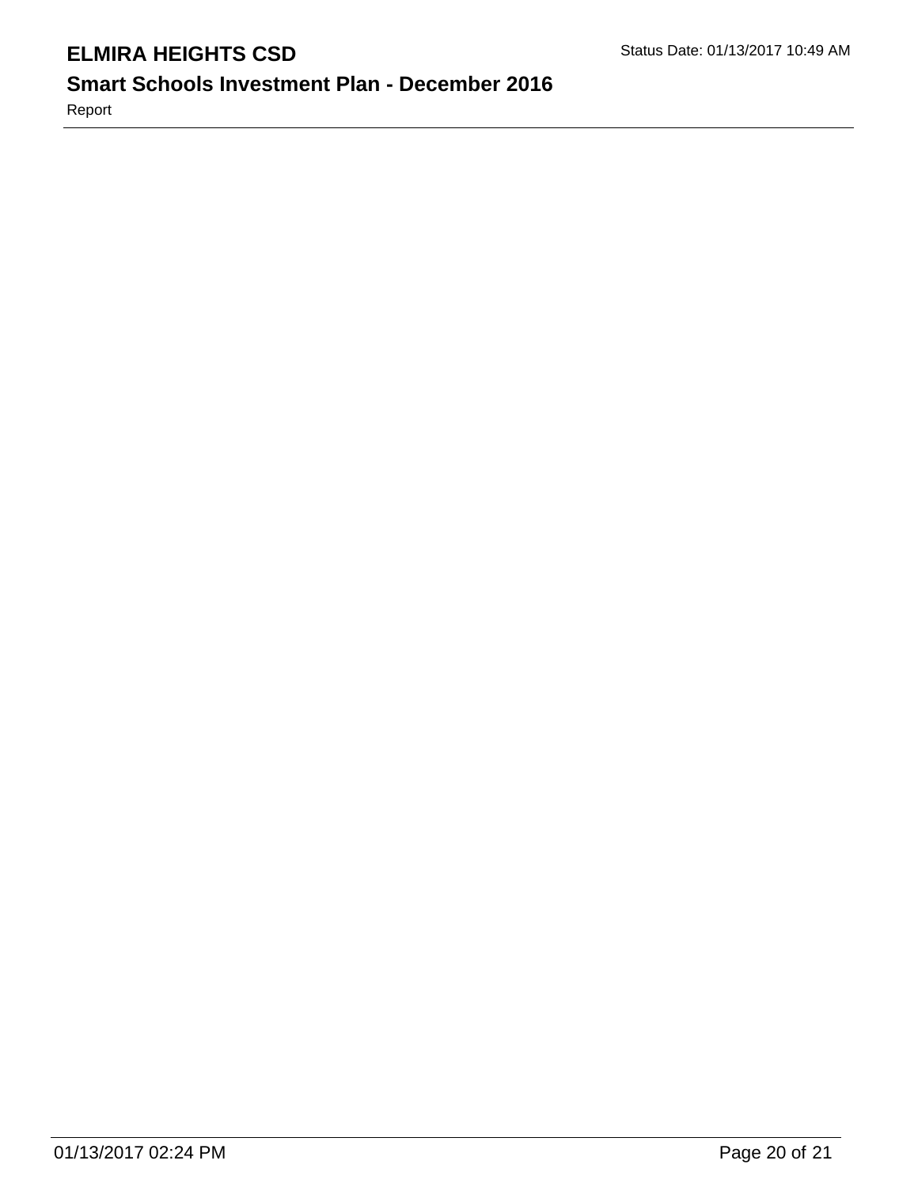## **Smart Schools Investment Plan - December 2016**

Report